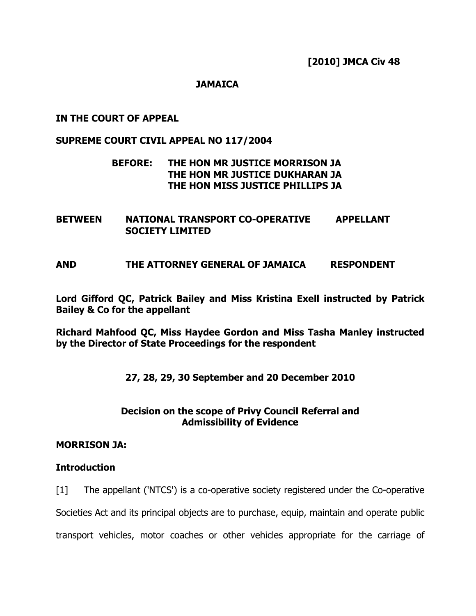[2010] JMCA Civ 48

## **JAMAICA**

IN THE COURT OF APPEAL

## SUPREME COURT CIVIL APPEAL NO 117/2004

# BEFORE: THE HON MR JUSTICE MORRISON JA THE HON MR JUSTICE DUKHARAN JA THE HON MISS JUSTICE PHILLIPS JA

BETWEEN NATIONAL TRANSPORT CO-OPERATIVE APPELLANT SOCIETY LIMITED

AND THE ATTORNEY GENERAL OF JAMAICA RESPONDENT

Lord Gifford QC, Patrick Bailey and Miss Kristina Exell instructed by Patrick Bailey & Co for the appellant

Richard Mahfood QC, Miss Haydee Gordon and Miss Tasha Manley instructed by the Director of State Proceedings for the respondent

27, 28, 29, 30 September and 20 December 2010

# Decision on the scope of Privy Council Referral and Admissibility of Evidence

### MORRISON JA:

# **Introduction**

[1] The appellant ('NTCS') is a co-operative society registered under the Co-operative

Societies Act and its principal objects are to purchase, equip, maintain and operate public

transport vehicles, motor coaches or other vehicles appropriate for the carriage of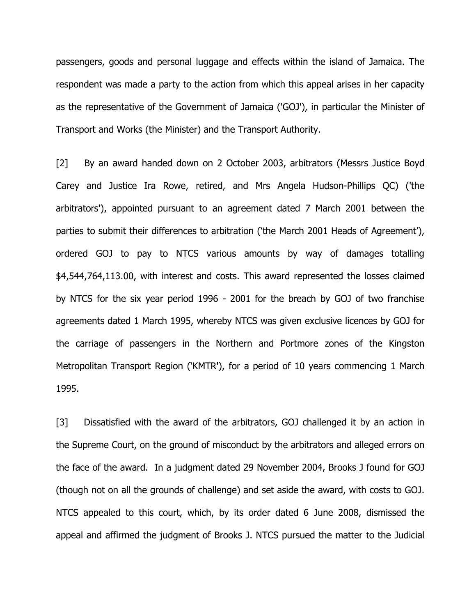passengers, goods and personal luggage and effects within the island of Jamaica. The respondent was made a party to the action from which this appeal arises in her capacity as the representative of the Government of Jamaica ('GOJ'), in particular the Minister of Transport and Works (the Minister) and the Transport Authority.

[2] By an award handed down on 2 October 2003, arbitrators (Messrs Justice Boyd Carey and Justice Ira Rowe, retired, and Mrs Angela Hudson-Phillips QC) ('the arbitrators'), appointed pursuant to an agreement dated 7 March 2001 between the parties to submit their differences to arbitration ('the March 2001 Heads of Agreement'), ordered GOJ to pay to NTCS various amounts by way of damages totalling \$4,544,764,113.00, with interest and costs. This award represented the losses claimed by NTCS for the six year period 1996 - 2001 for the breach by GOJ of two franchise agreements dated 1 March 1995, whereby NTCS was given exclusive licences by GOJ for the carriage of passengers in the Northern and Portmore zones of the Kingston Metropolitan Transport Region ('KMTR'), for a period of 10 years commencing 1 March 1995.

[3] Dissatisfied with the award of the arbitrators, GOJ challenged it by an action in the Supreme Court, on the ground of misconduct by the arbitrators and alleged errors on the face of the award. In a judgment dated 29 November 2004, Brooks J found for GOJ (though not on all the grounds of challenge) and set aside the award, with costs to GOJ. NTCS appealed to this court, which, by its order dated 6 June 2008, dismissed the appeal and affirmed the judgment of Brooks J. NTCS pursued the matter to the Judicial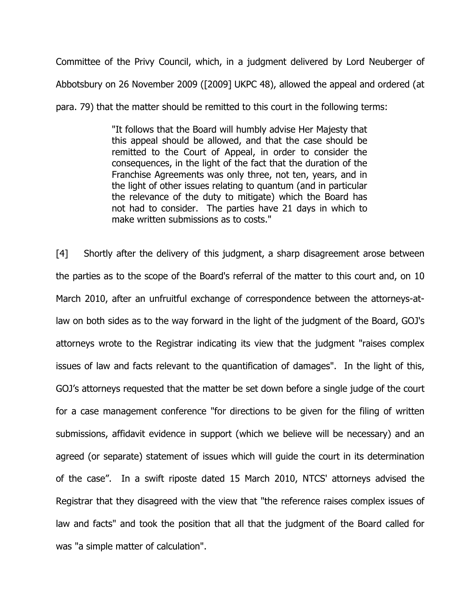Committee of the Privy Council, which, in a judgment delivered by Lord Neuberger of Abbotsbury on 26 November 2009 ([2009] UKPC 48), allowed the appeal and ordered (at para. 79) that the matter should be remitted to this court in the following terms:

> "It follows that the Board will humbly advise Her Majesty that this appeal should be allowed, and that the case should be remitted to the Court of Appeal, in order to consider the consequences, in the light of the fact that the duration of the Franchise Agreements was only three, not ten, years, and in the light of other issues relating to quantum (and in particular the relevance of the duty to mitigate) which the Board has not had to consider. The parties have 21 days in which to make written submissions as to costs."

[4] Shortly after the delivery of this judgment, a sharp disagreement arose between the parties as to the scope of the Board's referral of the matter to this court and, on 10 March 2010, after an unfruitful exchange of correspondence between the attorneys-atlaw on both sides as to the way forward in the light of the judgment of the Board, GOJ's attorneys wrote to the Registrar indicating its view that the judgment "raises complex issues of law and facts relevant to the quantification of damages". In the light of this, GOJ's attorneys requested that the matter be set down before a single judge of the court for a case management conference "for directions to be given for the filing of written submissions, affidavit evidence in support (which we believe will be necessary) and an agreed (or separate) statement of issues which will guide the court in its determination of the case". In a swift riposte dated 15 March 2010, NTCS' attorneys advised the Registrar that they disagreed with the view that "the reference raises complex issues of law and facts" and took the position that all that the judgment of the Board called for was "a simple matter of calculation".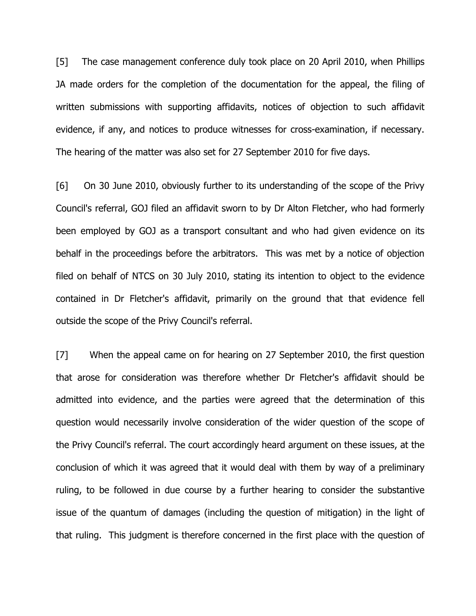[5] The case management conference duly took place on 20 April 2010, when Phillips JA made orders for the completion of the documentation for the appeal, the filing of written submissions with supporting affidavits, notices of objection to such affidavit evidence, if any, and notices to produce witnesses for cross-examination, if necessary. The hearing of the matter was also set for 27 September 2010 for five days.

[6] On 30 June 2010, obviously further to its understanding of the scope of the Privy Council's referral, GOJ filed an affidavit sworn to by Dr Alton Fletcher, who had formerly been employed by GOJ as a transport consultant and who had given evidence on its behalf in the proceedings before the arbitrators. This was met by a notice of objection filed on behalf of NTCS on 30 July 2010, stating its intention to object to the evidence contained in Dr Fletcher's affidavit, primarily on the ground that that evidence fell outside the scope of the Privy Council's referral.

[7] When the appeal came on for hearing on 27 September 2010, the first question that arose for consideration was therefore whether Dr Fletcher's affidavit should be admitted into evidence, and the parties were agreed that the determination of this question would necessarily involve consideration of the wider question of the scope of the Privy Council's referral. The court accordingly heard argument on these issues, at the conclusion of which it was agreed that it would deal with them by way of a preliminary ruling, to be followed in due course by a further hearing to consider the substantive issue of the quantum of damages (including the question of mitigation) in the light of that ruling. This judgment is therefore concerned in the first place with the question of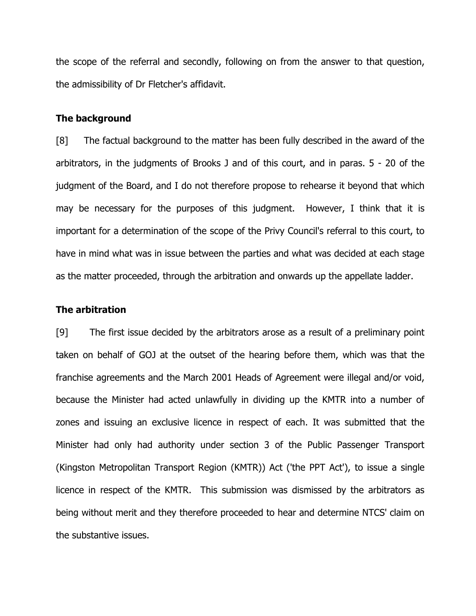the scope of the referral and secondly, following on from the answer to that question, the admissibility of Dr Fletcher's affidavit.

## The background

[8] The factual background to the matter has been fully described in the award of the arbitrators, in the judgments of Brooks J and of this court, and in paras. 5 - 20 of the judgment of the Board, and I do not therefore propose to rehearse it beyond that which may be necessary for the purposes of this judgment. However, I think that it is important for a determination of the scope of the Privy Council's referral to this court, to have in mind what was in issue between the parties and what was decided at each stage as the matter proceeded, through the arbitration and onwards up the appellate ladder.

#### The arbitration

[9] The first issue decided by the arbitrators arose as a result of a preliminary point taken on behalf of GOJ at the outset of the hearing before them, which was that the franchise agreements and the March 2001 Heads of Agreement were illegal and/or void, because the Minister had acted unlawfully in dividing up the KMTR into a number of zones and issuing an exclusive licence in respect of each. It was submitted that the Minister had only had authority under section 3 of the Public Passenger Transport (Kingston Metropolitan Transport Region (KMTR)) Act ('the PPT Act'), to issue a single licence in respect of the KMTR. This submission was dismissed by the arbitrators as being without merit and they therefore proceeded to hear and determine NTCS' claim on the substantive issues.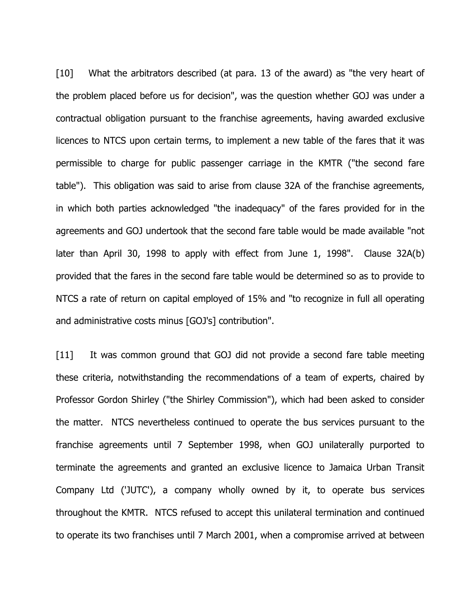[10] What the arbitrators described (at para. 13 of the award) as "the very heart of the problem placed before us for decision", was the question whether GOJ was under a contractual obligation pursuant to the franchise agreements, having awarded exclusive licences to NTCS upon certain terms, to implement a new table of the fares that it was permissible to charge for public passenger carriage in the KMTR ("the second fare table"). This obligation was said to arise from clause 32A of the franchise agreements, in which both parties acknowledged "the inadequacy" of the fares provided for in the agreements and GOJ undertook that the second fare table would be made available "not later than April 30, 1998 to apply with effect from June 1, 1998". Clause 32A(b) provided that the fares in the second fare table would be determined so as to provide to NTCS a rate of return on capital employed of 15% and "to recognize in full all operating and administrative costs minus [GOJ's] contribution".

[11] It was common ground that GOJ did not provide a second fare table meeting these criteria, notwithstanding the recommendations of a team of experts, chaired by Professor Gordon Shirley ("the Shirley Commission"), which had been asked to consider the matter. NTCS nevertheless continued to operate the bus services pursuant to the franchise agreements until 7 September 1998, when GOJ unilaterally purported to terminate the agreements and granted an exclusive licence to Jamaica Urban Transit Company Ltd ('JUTC'), a company wholly owned by it, to operate bus services throughout the KMTR. NTCS refused to accept this unilateral termination and continued to operate its two franchises until 7 March 2001, when a compromise arrived at between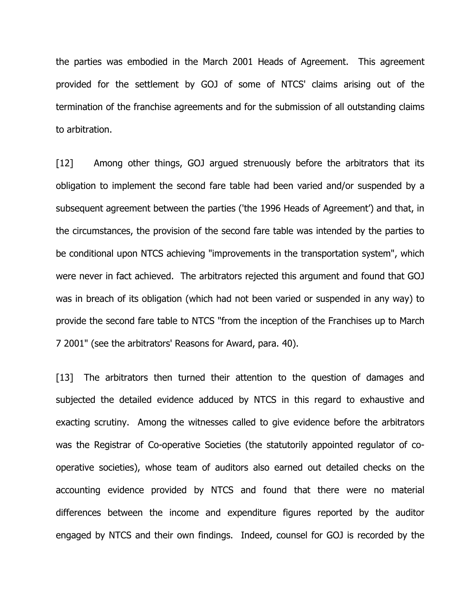the parties was embodied in the March 2001 Heads of Agreement. This agreement provided for the settlement by GOJ of some of NTCS' claims arising out of the termination of the franchise agreements and for the submission of all outstanding claims to arbitration.

[12] Among other things, GOJ argued strenuously before the arbitrators that its obligation to implement the second fare table had been varied and/or suspended by a subsequent agreement between the parties ('the 1996 Heads of Agreement') and that, in the circumstances, the provision of the second fare table was intended by the parties to be conditional upon NTCS achieving "improvements in the transportation system", which were never in fact achieved. The arbitrators rejected this argument and found that GOJ was in breach of its obligation (which had not been varied or suspended in any way) to provide the second fare table to NTCS "from the inception of the Franchises up to March 7 2001" (see the arbitrators' Reasons for Award, para. 40).

[13] The arbitrators then turned their attention to the question of damages and subjected the detailed evidence adduced by NTCS in this regard to exhaustive and exacting scrutiny. Among the witnesses called to give evidence before the arbitrators was the Registrar of Co-operative Societies (the statutorily appointed regulator of cooperative societies), whose team of auditors also earned out detailed checks on the accounting evidence provided by NTCS and found that there were no material differences between the income and expenditure figures reported by the auditor engaged by NTCS and their own findings. Indeed, counsel for GOJ is recorded by the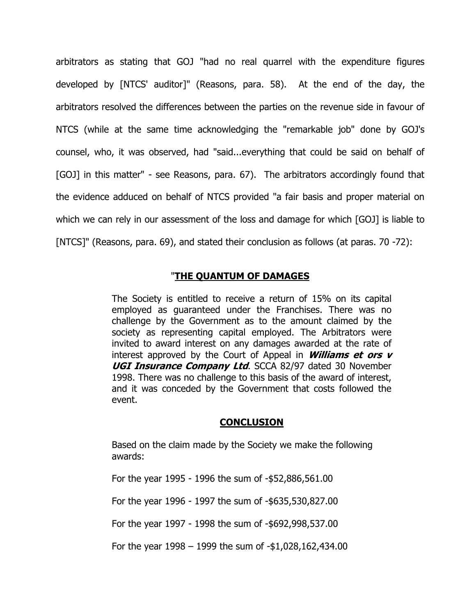arbitrators as stating that GOJ "had no real quarrel with the expenditure figures developed by [NTCS' auditor]" (Reasons, para. 58). At the end of the day, the arbitrators resolved the differences between the parties on the revenue side in favour of NTCS (while at the same time acknowledging the "remarkable job" done by GOJ's counsel, who, it was observed, had "said...everything that could be said on behalf of [GOJ] in this matter" - see Reasons, para. 67). The arbitrators accordingly found that the evidence adduced on behalf of NTCS provided "a fair basis and proper material on which we can rely in our assessment of the loss and damage for which [GOJ] is liable to [NTCS]" (Reasons, para. 69), and stated their conclusion as follows (at paras. 70 -72):

## "THE QUANTUM OF DAMAGES

The Society is entitled to receive a return of 15% on its capital employed as guaranteed under the Franchises. There was no challenge by the Government as to the amount claimed by the society as representing capital employed. The Arbitrators were invited to award interest on any damages awarded at the rate of interest approved by the Court of Appeal in **Williams et ors**  $v$ UGI Insurance Company Ltd. SCCA 82/97 dated 30 November 1998. There was no challenge to this basis of the award of interest, and it was conceded by the Government that costs followed the event.

### **CONCLUSION**

Based on the claim made by the Society we make the following awards:

For the year 1995 - 1996 the sum of -\$52,886,561.00

For the year 1996 - 1997 the sum of -\$635,530,827.00

For the year 1997 - 1998 the sum of -\$692,998,537.00

For the year 1998 – 1999 the sum of -\$1,028,162,434.00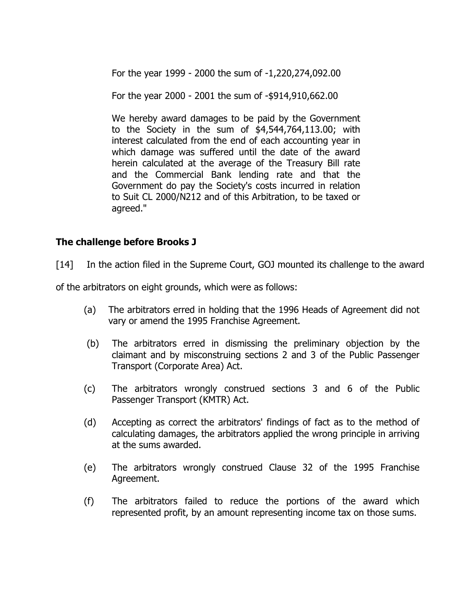For the year 1999 - 2000 the sum of -1,220,274,092.00

For the year 2000 - 2001 the sum of -\$914,910,662.00

We hereby award damages to be paid by the Government to the Society in the sum of \$4,544,764,113.00; with interest calculated from the end of each accounting year in which damage was suffered until the date of the award herein calculated at the average of the Treasury Bill rate and the Commercial Bank lending rate and that the Government do pay the Society's costs incurred in relation to Suit CL 2000/N212 and of this Arbitration, to be taxed or agreed."

# The challenge before Brooks J

[14] In the action filed in the Supreme Court, GOJ mounted its challenge to the award

of the arbitrators on eight grounds, which were as follows:

- (a) The arbitrators erred in holding that the 1996 Heads of Agreement did not vary or amend the 1995 Franchise Agreement.
- (b) The arbitrators erred in dismissing the preliminary objection by the claimant and by misconstruing sections 2 and 3 of the Public Passenger Transport (Corporate Area) Act.
- (c) The arbitrators wrongly construed sections 3 and 6 of the Public Passenger Transport (KMTR) Act.
- (d) Accepting as correct the arbitrators' findings of fact as to the method of calculating damages, the arbitrators applied the wrong principle in arriving at the sums awarded.
- (e) The arbitrators wrongly construed Clause 32 of the 1995 Franchise Agreement.
- (f) The arbitrators failed to reduce the portions of the award which represented profit, by an amount representing income tax on those sums.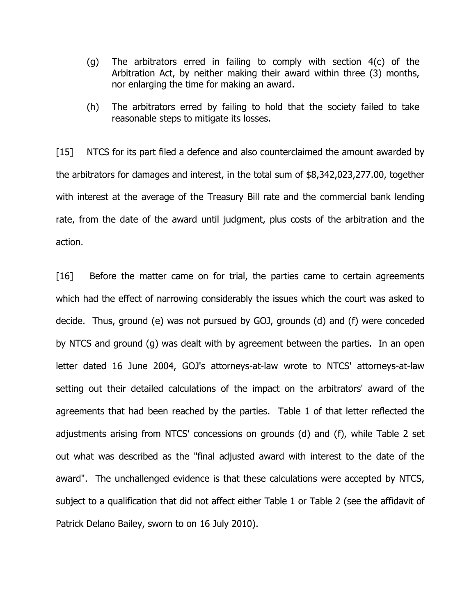- (g) The arbitrators erred in failing to comply with section 4(c) of the Arbitration Act, by neither making their award within three (3) months, nor enlarging the time for making an award.
- (h) The arbitrators erred by failing to hold that the society failed to take reasonable steps to mitigate its losses.

[15] NTCS for its part filed a defence and also counterclaimed the amount awarded by the arbitrators for damages and interest, in the total sum of \$8,342,023,277.00, together with interest at the average of the Treasury Bill rate and the commercial bank lending rate, from the date of the award until judgment, plus costs of the arbitration and the action.

[16] Before the matter came on for trial, the parties came to certain agreements which had the effect of narrowing considerably the issues which the court was asked to decide. Thus, ground (e) was not pursued by GOJ, grounds (d) and (f) were conceded by NTCS and ground (g) was dealt with by agreement between the parties. In an open letter dated 16 June 2004, GOJ's attorneys-at-law wrote to NTCS' attorneys-at-law setting out their detailed calculations of the impact on the arbitrators' award of the agreements that had been reached by the parties. Table 1 of that letter reflected the adjustments arising from NTCS' concessions on grounds (d) and (f), while Table 2 set out what was described as the "final adjusted award with interest to the date of the award". The unchallenged evidence is that these calculations were accepted by NTCS, subject to a qualification that did not affect either Table 1 or Table 2 (see the affidavit of Patrick Delano Bailey, sworn to on 16 July 2010).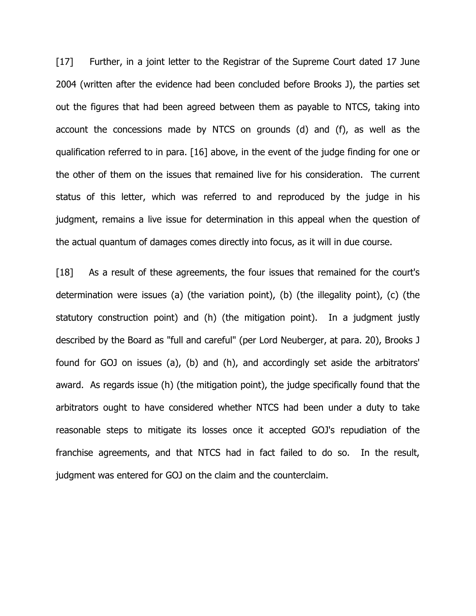[17] Further, in a joint letter to the Registrar of the Supreme Court dated 17 June 2004 (written after the evidence had been concluded before Brooks J), the parties set out the figures that had been agreed between them as payable to NTCS, taking into account the concessions made by NTCS on grounds (d) and (f), as well as the qualification referred to in para. [16] above, in the event of the judge finding for one or the other of them on the issues that remained live for his consideration. The current status of this letter, which was referred to and reproduced by the judge in his judgment, remains a live issue for determination in this appeal when the question of the actual quantum of damages comes directly into focus, as it will in due course.

[18] As a result of these agreements, the four issues that remained for the court's determination were issues (a) (the variation point), (b) (the illegality point), (c) (the statutory construction point) and (h) (the mitigation point). In a judgment justly described by the Board as "full and careful" (per Lord Neuberger, at para. 20), Brooks J found for GOJ on issues (a), (b) and (h), and accordingly set aside the arbitrators' award. As regards issue (h) (the mitigation point), the judge specifically found that the arbitrators ought to have considered whether NTCS had been under a duty to take reasonable steps to mitigate its losses once it accepted GOJ's repudiation of the franchise agreements, and that NTCS had in fact failed to do so. In the result, judgment was entered for GOJ on the claim and the counterclaim.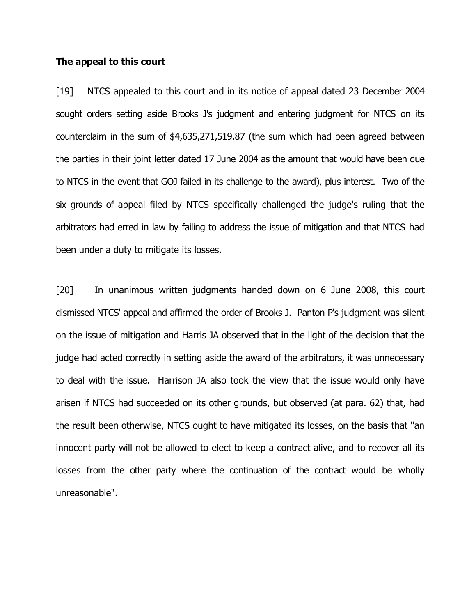### The appeal to this court

[19] NTCS appealed to this court and in its notice of appeal dated 23 December 2004 sought orders setting aside Brooks J's judgment and entering judgment for NTCS on its counterclaim in the sum of \$4,635,271,519.87 (the sum which had been agreed between the parties in their joint letter dated 17 June 2004 as the amount that would have been due to NTCS in the event that GOJ failed in its challenge to the award), plus interest. Two of the six grounds of appeal filed by NTCS specifically challenged the judge's ruling that the arbitrators had erred in law by failing to address the issue of mitigation and that NTCS had been under a duty to mitigate its losses.

[20] In unanimous written judgments handed down on 6 June 2008, this court dismissed NTCS' appeal and affirmed the order of Brooks J. Panton P's judgment was silent on the issue of mitigation and Harris JA observed that in the light of the decision that the judge had acted correctly in setting aside the award of the arbitrators, it was unnecessary to deal with the issue. Harrison JA also took the view that the issue would only have arisen if NTCS had succeeded on its other grounds, but observed (at para. 62) that, had the result been otherwise, NTCS ought to have mitigated its losses, on the basis that "an innocent party will not be allowed to elect to keep a contract alive, and to recover all its losses from the other party where the continuation of the contract would be wholly unreasonable".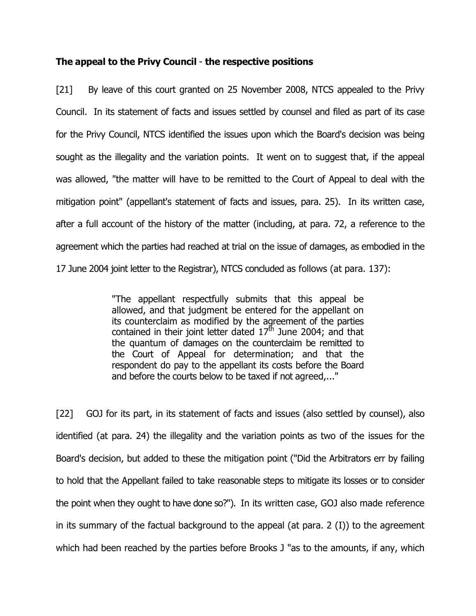## The appeal to the Privy Council - the respective positions

[21] By leave of this court granted on 25 November 2008, NTCS appealed to the Privy Council. In its statement of facts and issues settled by counsel and filed as part of its case for the Privy Council, NTCS identified the issues upon which the Board's decision was being sought as the illegality and the variation points. It went on to suggest that, if the appeal was allowed, "the matter will have to be remitted to the Court of Appeal to deal with the mitigation point" (appellant's statement of facts and issues, para. 25). In its written case, after a full account of the history of the matter (including, at para. 72, a reference to the agreement which the parties had reached at trial on the issue of damages, as embodied in the 17 June 2004 joint letter to the Registrar), NTCS concluded as follows (at para. 137):

> "The appellant respectfully submits that this appeal be allowed, and that judgment be entered for the appellant on its counterclaim as modified by the agreement of the parties contained in their joint letter dated  $17<sup>th</sup>$  June 2004; and that the quantum of damages on the counterclaim be remitted to the Court of Appeal for determination; and that the respondent do pay to the appellant its costs before the Board and before the courts below to be taxed if not agreed,..."

[22] GOJ for its part, in its statement of facts and issues (also settled by counsel), also identified (at para. 24) the illegality and the variation points as two of the issues for the Board's decision, but added to these the mitigation point ("Did the Arbitrators err by failing to hold that the Appellant failed to take reasonable steps to mitigate its losses or to consider the point when they ought to have done so?"). In its written case, GOJ also made reference in its summary of the factual background to the appeal (at para. 2 (I)) to the agreement which had been reached by the parties before Brooks J "as to the amounts, if any, which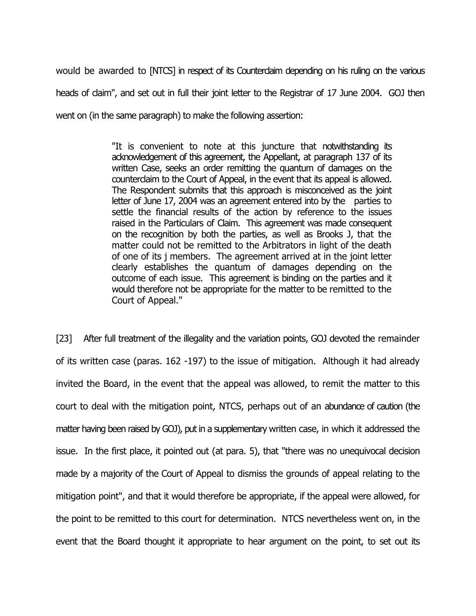would be awarded to [NTCS] in respect of its Counterdaim depending on his ruling on the various heads of claim", and set out in full their joint letter to the Registrar of 17 June 2004. GOJ then went on (in the same paragraph) to make the following assertion:

> "It is convenient to note at this juncture that notwithstanding its acknowledgement of this agreement, the Appellant, at paragraph 137 of its written Case, seeks an order remitting the quantum of damages on the counterclaim to the Court of Appeal, in the event that its appeal is allowed. The Respondent submits that this approach is misconceived as the joint letter of June 17, 2004 was an agreement entered into by the parties to settle the financial results of the action by reference to the issues raised in the Particulars of Claim. This agreement was made consequent on the recognition by both the parties, as well as Brooks J, that the matter could not be remitted to the Arbitrators in light of the death of one of its j members. The agreement arrived at in the joint letter clearly establishes the quantum of damages depending on the outcome of each issue. This agreement is binding on the parties and it would therefore not be appropriate for the matter to be remitted to the Court of Appeal."

[23] After full treatment of the illegality and the variation points, GOJ devoted the remainder of its written case (paras. 162 -197) to the issue of mitigation. Although it had already invited the Board, in the event that the appeal was allowed, to remit the matter to this court to deal with the mitigation point, NTCS, perhaps out of an abundance of caution (the matter having been raised by GOJ), put in a supplementary written case, in which it addressed the issue. In the first place, it pointed out (at para. 5), that "there was no unequivocal decision made by a majority of the Court of Appeal to dismiss the grounds of appeal relating to the mitigation point", and that it would therefore be appropriate, if the appeal were allowed, for the point to be remitted to this court for determination. NTCS nevertheless went on, in the event that the Board thought it appropriate to hear argument on the point, to set out its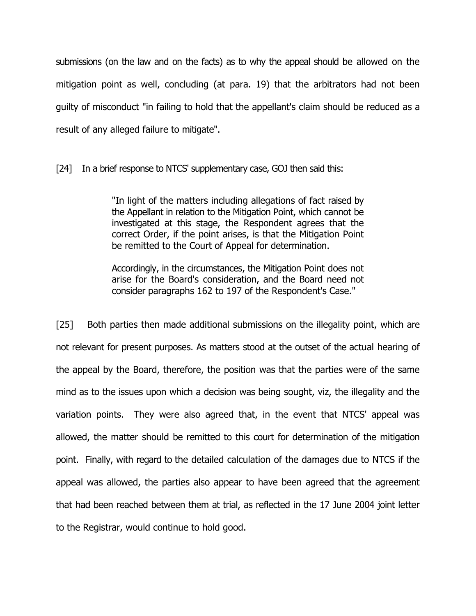submissions (on the law and on the facts) as to why the appeal should be allowed on the mitigation point as well, concluding (at para. 19) that the arbitrators had not been guilty of misconduct "in failing to hold that the appellant's claim should be reduced as a result of any alleged failure to mitigate".

[24] In a brief response to NTCS' supplementary case, GOJ then said this:

"In light of the matters including allegations of fact raised by the Appellant in relation to the Mitigation Point, which cannot be investigated at this stage, the Respondent agrees that the correct Order, if the point arises, is that the Mitigation Point be remitted to the Court of Appeal for determination.

Accordingly, in the circumstances, the Mitigation Point does not arise for the Board's consideration, and the Board need not consider paragraphs 162 to 197 of the Respondent's Case."

[25] Both parties then made additional submissions on the illegality point, which are not relevant for present purposes. As matters stood at the outset of the actual hearing of the appeal by the Board, therefore, the position was that the parties were of the same mind as to the issues upon which a decision was being sought, viz, the illegality and the variation points. They were also agreed that, in the event that NTCS' appeal was allowed, the matter should be remitted to this court for determination of the mitigation point. Finally, with regard to the detailed calculation of the damages due to NTCS if the appeal was allowed, the parties also appear to have been agreed that the agreement that had been reached between them at trial, as reflected in the 17 June 2004 joint letter to the Registrar, would continue to hold good.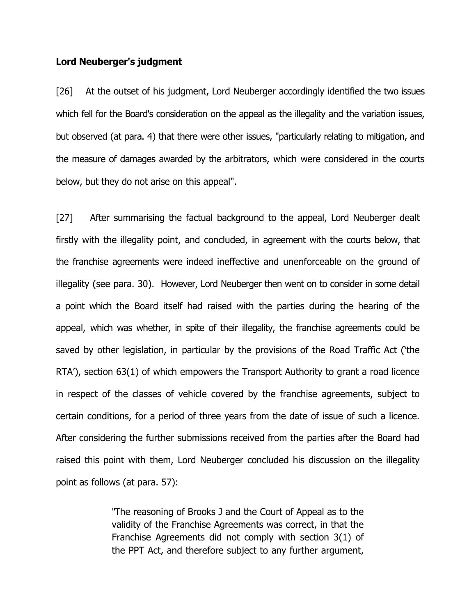### Lord Neuberger's judgment

[26] At the outset of his judgment, Lord Neuberger accordingly identified the two issues which fell for the Board's consideration on the appeal as the illegality and the variation issues, but observed (at para. 4) that there were other issues, "particularly relating to mitigation, and the measure of damages awarded by the arbitrators, which were considered in the courts below, but they do not arise on this appeal".

[27] After summarising the factual background to the appeal, Lord Neuberger dealt firstly with the illegality point, and concluded, in agreement with the courts below, that the franchise agreements were indeed ineffective and unenforceable on the ground of illegality (see para. 30). However, Lord Neuberger then went on to consider in some detail a point which the Board itself had raised with the parties during the hearing of the appeal, which was whether, in spite of their illegality, the franchise agreements could be saved by other legislation, in particular by the provisions of the Road Traffic Act ('the RTA'), section 63(1) of which empowers the Transport Authority to grant a road licence in respect of the classes of vehicle covered by the franchise agreements, subject to certain conditions, for a period of three years from the date of issue of such a licence. After considering the further submissions received from the parties after the Board had raised this point with them, Lord Neuberger concluded his discussion on the illegality point as follows (at para. 57):

> "The reasoning of Brooks J and the Court of Appeal as to the validity of the Franchise Agreements was correct, in that the Franchise Agreements did not comply with section 3(1) of the PPT Act, and therefore subject to any further argument,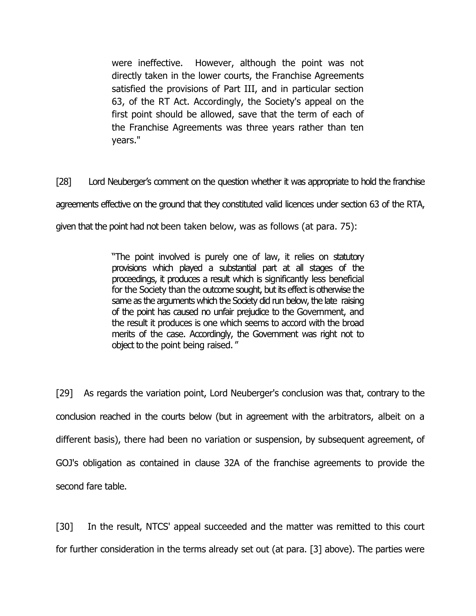were ineffective. However, although the point was not directly taken in the lower courts, the Franchise Agreements satisfied the provisions of Part III, and in particular section 63, of the RT Act. Accordingly, the Society's appeal on the first point should be allowed, save that the term of each of the Franchise Agreements was three years rather than ten years."

[28] Lord Neuberger's comment on the question whether it was appropriate to hold the franchise

agreements effective on the ground that they constituted valid licences under section 63 of the RTA,

given that the point had not been taken below, was as follows (at para. 75):

"The point involved is purely one of law, it relies on statutory provisions which played a substantial part at all stages of the proceedings, it produces a result which is significantly less beneficial for the Society than the outcome sought, but its effect is otherwise the same as the arguments which the Society did run below, the late raising of the point has caused no unfair prejudice to the Government, and the result it produces is one which seems to accord with the broad merits of the case. Accordingly, the Government was right not to object to the point being raised."

[29] As regards the variation point, Lord Neuberger's conclusion was that, contrary to the conclusion reached in the courts below (but in agreement with the arbitrators, albeit on a different basis), there had been no variation or suspension, by subsequent agreement, of GOJ's obligation as contained in clause 32A of the franchise agreements to provide the second fare table.

[30] In the result, NTCS' appeal succeeded and the matter was remitted to this court for further consideration in the terms already set out (at para. [3] above). The parties were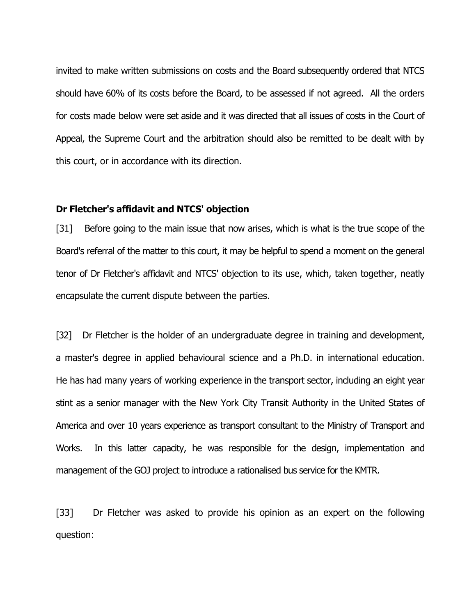invited to make written submissions on costs and the Board subsequently ordered that NTCS should have 60% of its costs before the Board, to be assessed if not agreed. All the orders for costs made below were set aside and it was directed that all issues of costs in the Court of Appeal, the Supreme Court and the arbitration should also be remitted to be dealt with by this court, or in accordance with its direction.

### Dr Fletcher's affidavit and NTCS' objection

[31] Before going to the main issue that now arises, which is what is the true scope of the Board's referral of the matter to this court, it may be helpful to spend a moment on the general tenor of Dr Fletcher's affidavit and NTCS' objection to its use, which, taken together, neatly encapsulate the current dispute between the parties.

[32] Dr Fletcher is the holder of an undergraduate degree in training and development, a master's degree in applied behavioural science and a Ph.D. in international education. He has had many years of working experience in the transport sector, including an eight year stint as a senior manager with the New York City Transit Authority in the United States of America and over 10 years experience as transport consultant to the Ministry of Transport and Works. In this latter capacity, he was responsible for the design, implementation and management of the GOJ project to introduce a rationalised bus service for the KMTR.

[33] Dr Fletcher was asked to provide his opinion as an expert on the following question: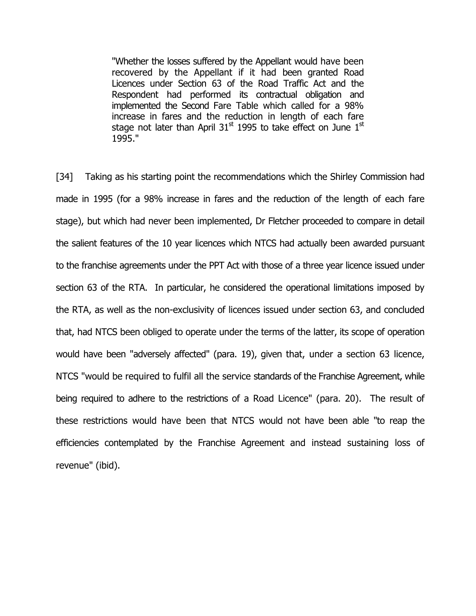"Whether the losses suffered by the Appellant would have been recovered by the Appellant if it had been granted Road Licences under Section 63 of the Road Traffic Act and the Respondent had performed its contractual obligation and implemented the Second Fare Table which called for a 98% increase in fares and the reduction in length of each fare stage not later than April  $31<sup>st</sup>$  1995 to take effect on June  $1<sup>st</sup>$ 1995."

[34] Taking as his starting point the recommendations which the Shirley Commission had made in 1995 (for a 98% increase in fares and the reduction of the length of each fare stage), but which had never been implemented, Dr Fletcher proceeded to compare in detail the salient features of the 10 year licences which NTCS had actually been awarded pursuant to the franchise agreements under the PPT Act with those of a three year licence issued under section 63 of the RTA. In particular, he considered the operational limitations imposed by the RTA, as well as the non-exclusivity of licences issued under section 63, and concluded that, had NTCS been obliged to operate under the terms of the latter, its scope of operation would have been "adversely affected" (para. 19), given that, under a section 63 licence, NTCS "would be required to fulfil all the service standards of the Franchise Agreement, while being required to adhere to the restrictions of a Road Licence" (para. 20). The result of these restrictions would have been that NTCS would not have been able "to reap the efficiencies contemplated by the Franchise Agreement and instead sustaining loss of revenue" (ibid).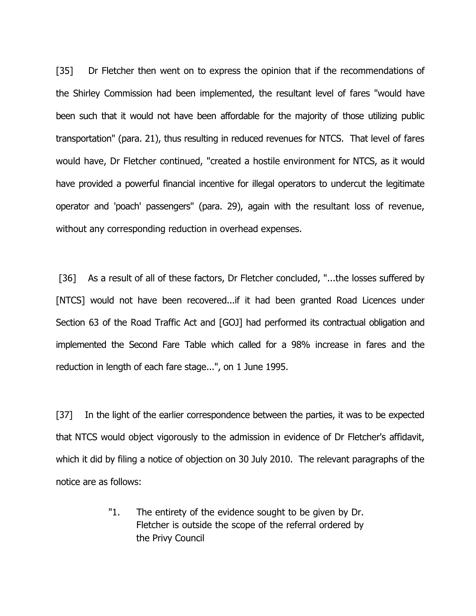[35] Dr Fletcher then went on to express the opinion that if the recommendations of the Shirley Commission had been implemented, the resultant level of fares "would have been such that it would not have been affordable for the majority of those utilizing public transportation" (para. 21), thus resulting in reduced revenues for NTCS. That level of fares would have, Dr Fletcher continued, "created a hostile environment for NTCS, as it would have provided a powerful financial incentive for illegal operators to undercut the legitimate operator and 'poach' passengers" (para. 29), again with the resultant loss of revenue, without any corresponding reduction in overhead expenses.

[36] As a result of all of these factors, Dr Fletcher concluded, "...the losses suffered by [NTCS] would not have been recovered...if it had been granted Road Licences under Section 63 of the Road Traffic Act and [GOJ] had performed its contractual obligation and implemented the Second Fare Table which called for a 98% increase in fares and the reduction in length of each fare stage...", on 1 June 1995.

[37] In the light of the earlier correspondence between the parties, it was to be expected that NTCS would object vigorously to the admission in evidence of Dr Fletcher's affidavit, which it did by filing a notice of objection on 30 July 2010. The relevant paragraphs of the notice are as follows:

> "1. The entirety of the evidence sought to be given by Dr. Fletcher is outside the scope of the referral ordered by the Privy Council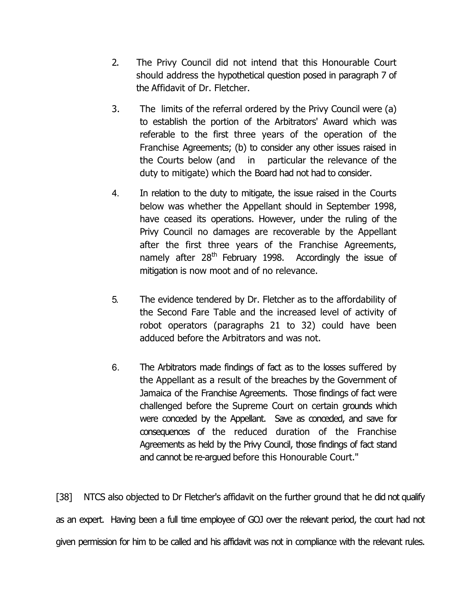- 2. The Privy Council did not intend that this Honourable Court should address the hypothetical question posed in paragraph 7 of the Affidavit of Dr. Fletcher.
- 3. The limits of the referral ordered by the Privy Council were (a) to establish the portion of the Arbitrators' Award which was referable to the first three years of the operation of the Franchise Agreements; (b) to consider any other issues raised in the Courts below (and in particular the relevance of the duty to mitigate) which the Board had not had to consider.
- 4. In relation to the duty to mitigate, the issue raised in the Courts below was whether the Appellant should in September 1998, have ceased its operations. However, under the ruling of the Privy Council no damages are recoverable by the Appellant after the first three years of the Franchise Agreements, namely after 28<sup>th</sup> February 1998. Accordingly the issue of mitigation is now moot and of no relevance.
- 5. The evidence tendered by Dr. Fletcher as to the affordability of the Second Fare Table and the increased level of activity of robot operators (paragraphs 21 to 32) could have been adduced before the Arbitrators and was not.
- 6. The Arbitrators made findings of fact as to the losses suffered by the Appellant as a result of the breaches by the Government of Jamaica of the Franchise Agreements. Those findings of fact were challenged before the Supreme Court on certain grounds which were conceded by the Appellant. Save as conceded, and save for consequences of the reduced duration of the Franchise Agreements as held by the Privy Council, those findings of fact stand and cannot be re-argued before this Honourable Court."

[38] NTCS also objected to Dr Fletcher's affidavit on the further ground that he did not qualify as an expert. Having been a full time employee of GOJ over the relevant period, the court had not given permission for him to be called and his affidavit was not in compliance with the relevant rules.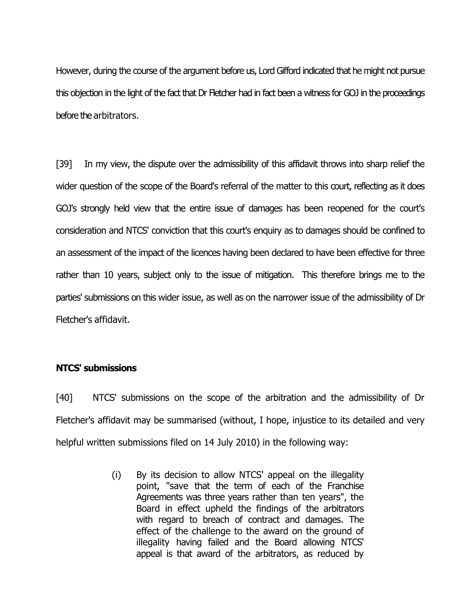However, during the course of the argument before us, Lord Gifford indicated that he might not pursue this objection in the light of the fact that Dr Fletcher had in fact been a witness for GOJ in the proceedings before the arbitrators.

[39] In my view, the dispute over the admissibility of this affidavit throws into sharp relief the wider question of the scope of the Board's referral of the matter to this court, reflecting as it does GOJ's strongly held view that the entire issue of damages has been reopened for the court's consideration and NTCS' conviction that this court's enquiry as to damages should be confined to an assessment of the impact of the licences having been declared to have been effective for three rather than 10 years, subject only to the issue of mitigation. This therefore brings me to the parties' submissions on this wider issue, as well as on the narrower issue of the admissibility of Dr Fletcher's affidavit.

## NTCS' submissions

[40] NTCS' submissions on the scope of the arbitration and the admissibility of Dr Fletcher's affidavit may be summarised (without, I hope, injustice to its detailed and very helpful written submissions filed on 14 July 2010) in the following way:

> (i) By its decision to allow NTCS' appeal on the illegality point, "save that the term of each of the Franchise Agreements was three years rather than ten years", the Board in effect upheld the findings of the arbitrators with regard to breach of contract and damages. The effect of the challenge to the award on the ground of illegality having failed and the Board allowing NTCS' appeal is that award of the arbitrators, as reduced by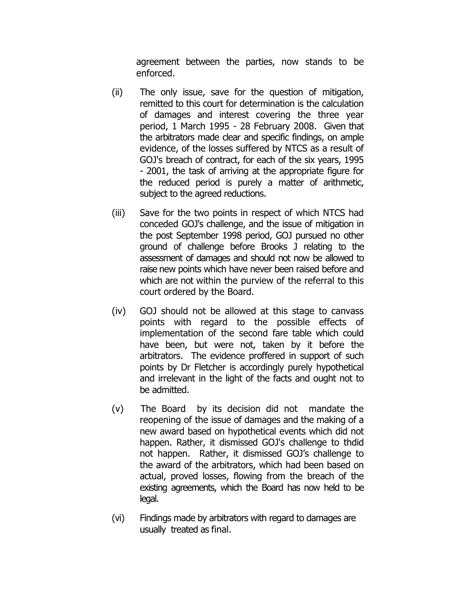agreement between the parties, now stands to be enforced.

- (ii) The only issue, save for the question of mitigation, remitted to this court for determination is the calculation of damages and interest covering the three year period, 1 March 1995 - 28 February 2008. Given that the arbitrators made clear and specific findings, on ample evidence, of the losses suffered by NTCS as a result of GOJ's breach of contract, for each of the six years, 1995 - 2001, the task of arriving at the appropriate figure for the reduced period is purely a matter of arithmetic, subject to the agreed reductions.
- (iii) Save for the two points in respect of which NTCS had conceded GOJ's challenge, and the issue of mitigation in the post September 1998 period, GOJ pursued no other ground of challenge before Brooks J relating to the assessment of damages and should not now be allowed to raise new points which have never been raised before and which are not within the purview of the referral to this court ordered by the Board.
- (iv) GOJ should not be allowed at this stage to canvass points with regard to the possible effects of implementation of the second fare table which could have been, but were not, taken by it before the arbitrators. The evidence proffered in support of such points by Dr Fletcher is accordingly purely hypothetical and irrelevant in the light of the facts and ought not to be admitted.
- (v) The Board by its decision did not mandate the reopening of the issue of damages and the making of a new award based on hypothetical events which did not happen. Rather, it dismissed GOJ's challenge to thdid not happen. Rather, it dismissed GOJ's challenge to the award of the arbitrators, which had been based on actual, proved losses, flowing from the breach of the existing agreements, which the Board has now held to be legal.
- (vi) Findings made by arbitrators with regard to damages are usually treated as final.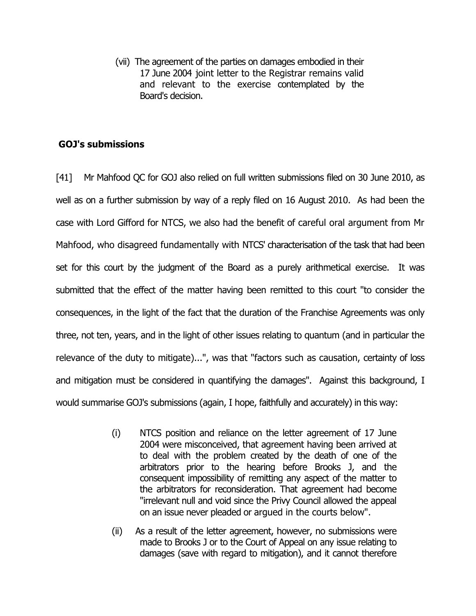(vii) The agreement of the parties on damages embodied in their 17 June 2004 joint letter to the Registrar remains valid and relevant to the exercise contemplated by the Board's decision.

# GOJ's submissions

[41] Mr Mahfood QC for GOJ also relied on full written submissions filed on 30 June 2010, as well as on a further submission by way of a reply filed on 16 August 2010. As had been the case with Lord Gifford for NTCS, we also had the benefit of careful oral argument from Mr Mahfood, who disagreed fundamentally with NTCS' characterisation of the task that had been set for this court by the judgment of the Board as a purely arithmetical exercise. It was submitted that the effect of the matter having been remitted to this court "to consider the consequences, in the light of the fact that the duration of the Franchise Agreements was only three, not ten, years, and in the light of other issues relating to quantum (and in particular the relevance of the duty to mitigate)...", was that "factors such as causation, certainty of loss and mitigation must be considered in quantifying the damages". Against this background, I would summarise GOJ's submissions (again, I hope, faithfully and accurately) in this way:

- (i) NTCS position and reliance on the letter agreement of 17 June 2004 were misconceived, that agreement having been arrived at to deal with the problem created by the death of one of the arbitrators prior to the hearing before Brooks J, and the consequent impossibility of remitting any aspect of the matter to the arbitrators for reconsideration. That agreement had become "irrelevant null and void since the Privy Council allowed the appeal on an issue never pleaded or argued in the courts below".
- (ii) As a result of the letter agreement, however, no submissions were made to Brooks J or to the Court of Appeal on any issue relating to damages (save with regard to mitigation), and it cannot therefore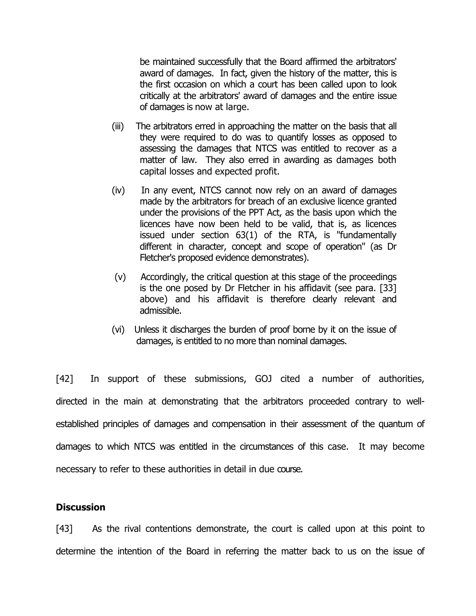be maintained successfully that the Board affirmed the arbitrators' award of damages. In fact, given the history of the matter, this is the first occasion on which a court has been called upon to look critically at the arbitrators' award of damages and the entire issue of damages is now at large.

- (iii) The arbitrators erred in approaching the matter on the basis that all they were required to do was to quantify losses as opposed to assessing the damages that NTCS was entitled to recover as a matter of law. They also erred in awarding as damages both capital losses and expected profit.
- (iv) In any event, NTCS cannot now rely on an award of damages made by the arbitrators for breach of an exclusive licence granted under the provisions of the PPT Act, as the basis upon which the licences have now been held to be valid, that is, as licences issued under section 63(1) of the RTA, is "fundamentally different in character, concept and scope of operation" (as Dr Fletcher's proposed evidence demonstrates).
- (v) Accordingly, the critical question at this stage of the proceedings is the one posed by Dr Fletcher in his affidavit (see para. [33] above) and his affidavit is therefore clearly relevant and admissible.
- (vi) Unless it discharges the burden of proof borne by it on the issue of damages, is entitled to no more than nominal damages.

[42] In support of these submissions, GOJ cited a number of authorities, directed in the main at demonstrating that the arbitrators proceeded contrary to wellestablished principles of damages and compensation in their assessment of the quantum of damages to which NTCS was entitled in the circumstances of this case. It may become necessary to refer to these authorities in detail in due course.

### **Discussion**

[43] As the rival contentions demonstrate, the court is called upon at this point to determine the intention of the Board in referring the matter back to us on the issue of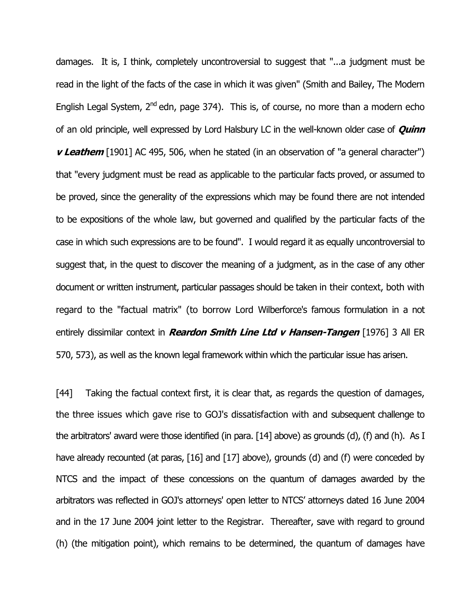damages. It is, I think, completely uncontroversial to suggest that "...a judgment must be read in the light of the facts of the case in which it was given" (Smith and Bailey, The Modern English Legal System,  $2^{nd}$  edn, page 374). This is, of course, no more than a modern echo of an old principle, well expressed by Lord Halsbury LC in the well-known older case of *Quinn* v Leathem [1901] AC 495, 506, when he stated (in an observation of "a general character") that "every judgment must be read as applicable to the particular facts proved, or assumed to be proved, since the generality of the expressions which may be found there are not intended to be expositions of the whole law, but governed and qualified by the particular facts of the case in which such expressions are to be found". I would regard it as equally uncontroversial to suggest that, in the quest to discover the meaning of a judgment, as in the case of any other document or written instrument, particular passages should be taken in their context, both with regard to the "factual matrix" (to borrow Lord Wilberforce's famous formulation in a not entirely dissimilar context in *Reardon Smith Line Ltd v Hansen-Tangen* [1976] 3 All ER 570, 573), as well as the known legal framework within which the particular issue has arisen.

[44] Taking the factual context first, it is clear that, as regards the question of damages, the three issues which gave rise to GOJ's dissatisfaction with and subsequent challenge to the arbitrators' award were those identified (in para. [14] above) as grounds (d), (f) and (h). As I have already recounted (at paras, [16] and [17] above), grounds (d) and (f) were conceded by NTCS and the impact of these concessions on the quantum of damages awarded by the arbitrators was reflected in GOJ's attorneys' open letter to NTCS' attorneys dated 16 June 2004 and in the 17 June 2004 joint letter to the Registrar. Thereafter, save with regard to ground (h) (the mitigation point), which remains to be determined, the quantum of damages have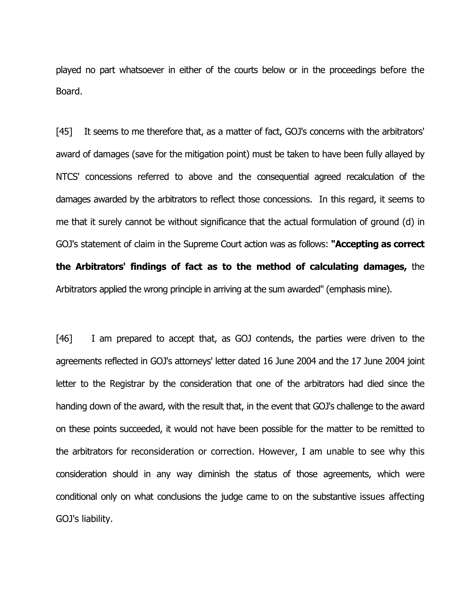played no part whatsoever in either of the courts below or in the proceedings before the Board.

[45] It seems to me therefore that, as a matter of fact, GOJ's concerns with the arbitrators' award of damages (save for the mitigation point) must be taken to have been fully allayed by NTCS' concessions referred to above and the consequential agreed recalculation of the damages awarded by the arbitrators to reflect those concessions. In this regard, it seems to me that it surely cannot be without significance that the actual formulation of ground (d) in GOJ's statement of claim in the Supreme Court action was as follows: **"Accepting as correct** the Arbitrators' findings of fact as to the method of calculating damages, the Arbitrators applied the wrong principle in arriving at the sum awarded" (emphasis mine).

[46] I am prepared to accept that, as GOJ contends, the parties were driven to the agreements reflected in GOJ's attorneys' letter dated 16 June 2004 and the 17 June 2004 joint letter to the Registrar by the consideration that one of the arbitrators had died since the handing down of the award, with the result that, in the event that GOJ's challenge to the award on these points succeeded, it would not have been possible for the matter to be remitted to the arbitrators for reconsideration or correction. However, I am unable to see why this consideration should in any way diminish the status of those agreements, which were conditional only on what conclusions the judge came to on the substantive issues affecting GOJ's liability.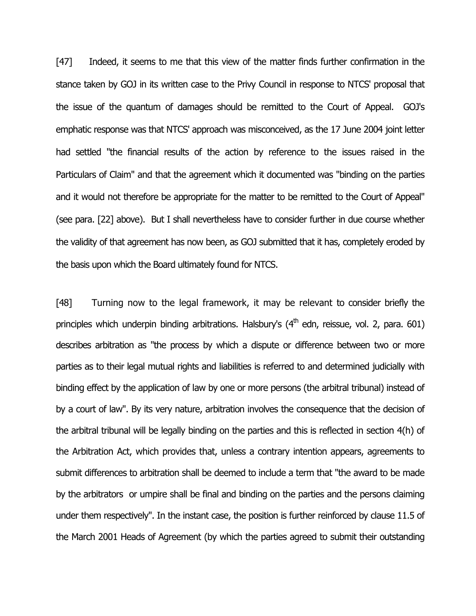[47] Indeed, it seems to me that this view of the matter finds further confirmation in the stance taken by GOJ in its written case to the Privy Council in response to NTCS' proposal that the issue of the quantum of damages should be remitted to the Court of Appeal. GOJ's emphatic response was that NTCS' approach was misconceived, as the 17 June 2004 joint letter had settled "the financial results of the action by reference to the issues raised in the Particulars of Claim" and that the agreement which it documented was "binding on the parties and it would not therefore be appropriate for the matter to be remitted to the Court of Appeal" (see para. [22] above). But I shall nevertheless have to consider further in due course whether the validity of that agreement has now been, as GOJ submitted that it has, completely eroded by the basis upon which the Board ultimately found for NTCS.

[48] Turning now to the legal framework, it may be relevant to consider briefly the principles which underpin binding arbitrations. Halsbury's  $(4<sup>th</sup>$  edn, reissue, vol. 2, para. 601) describes arbitration as "the process by which a dispute or difference between two or more parties as to their legal mutual rights and liabilities is referred to and determined judicially with binding effect by the application of law by one or more persons (the arbitral tribunal) instead of by a court of law". By its very nature, arbitration involves the consequence that the decision of the arbitral tribunal will be legally binding on the parties and this is reflected in section 4(h) of the Arbitration Act, which provides that, unless a contrary intention appears, agreements to submit differences to arbitration shall be deemed to include a term that "the award to be made by the arbitrators or umpire shall be final and binding on the parties and the persons claiming under them respectively". In the instant case, the position is further reinforced by clause 11.5 of the March 2001 Heads of Agreement (by which the parties agreed to submit their outstanding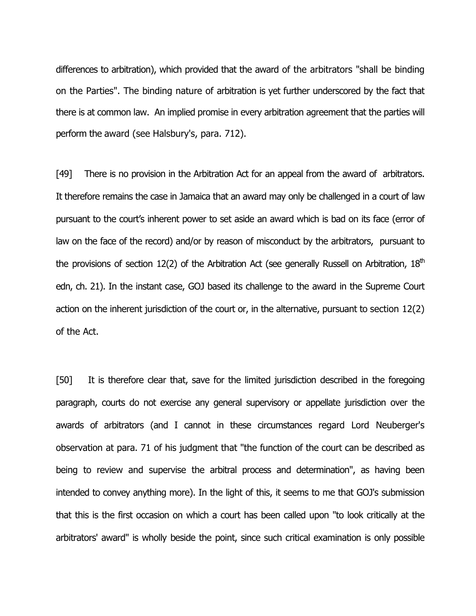differences to arbitration), which provided that the award of the arbitrators "shall be binding on the Parties". The binding nature of arbitration is yet further underscored by the fact that there is at common law. An implied promise in every arbitration agreement that the parties will perform the award (see Halsbury's, para. 712).

[49] There is no provision in the Arbitration Act for an appeal from the award of arbitrators. It therefore remains the case in Jamaica that an award may only be challenged in a court of law pursuant to the court's inherent power to set aside an award which is bad on its face (error of law on the face of the record) and/or by reason of misconduct by the arbitrators, pursuant to the provisions of section 12(2) of the Arbitration Act (see generally Russell on Arbitration,  $18<sup>th</sup>$ edn, ch. 21). In the instant case, GOJ based its challenge to the award in the Supreme Court action on the inherent jurisdiction of the court or, in the alternative, pursuant to section 12(2) of the Act.

[50] It is therefore clear that, save for the limited jurisdiction described in the foregoing paragraph, courts do not exercise any general supervisory or appellate jurisdiction over the awards of arbitrators (and I cannot in these circumstances regard Lord Neuberger's observation at para. 71 of his judgment that "the function of the court can be described as being to review and supervise the arbitral process and determination", as having been intended to convey anything more). In the light of this, it seems to me that GOJ's submission that this is the first occasion on which a court has been called upon "to look critically at the arbitrators' award" is wholly beside the point, since such critical examination is only possible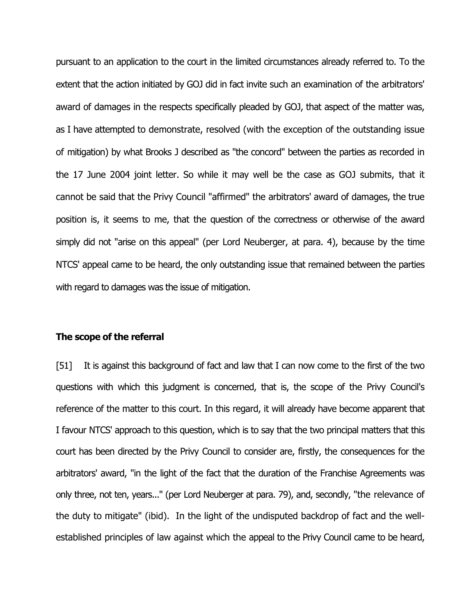pursuant to an application to the court in the limited circumstances already referred to. To the extent that the action initiated by GOJ did in fact invite such an examination of the arbitrators' award of damages in the respects specifically pleaded by GOJ, that aspect of the matter was, as I have attempted to demonstrate, resolved (with the exception of the outstanding issue of mitigation) by what Brooks J described as "the concord" between the parties as recorded in the 17 June 2004 joint letter. So while it may well be the case as GOJ submits, that it cannot be said that the Privy Council "affirmed" the arbitrators' award of damages, the true position is, it seems to me, that the question of the correctness or otherwise of the award simply did not "arise on this appeal" (per Lord Neuberger, at para. 4), because by the time NTCS' appeal came to be heard, the only outstanding issue that remained between the parties with regard to damages was the issue of mitigation.

#### The scope of the referral

[51] It is against this background of fact and law that I can now come to the first of the two questions with which this judgment is concerned, that is, the scope of the Privy Council's reference of the matter to this court. In this regard, it will already have become apparent that I favour NTCS' approach to this question, which is to say that the two principal matters that this court has been directed by the Privy Council to consider are, firstly, the consequences for the arbitrators' award, "in the light of the fact that the duration of the Franchise Agreements was only three, not ten, years..." (per Lord Neuberger at para. 79), and, secondly, "the relevance of the duty to mitigate" (ibid). In the light of the undisputed backdrop of fact and the wellestablished principles of law against which the appeal to the Privy Council came to be heard,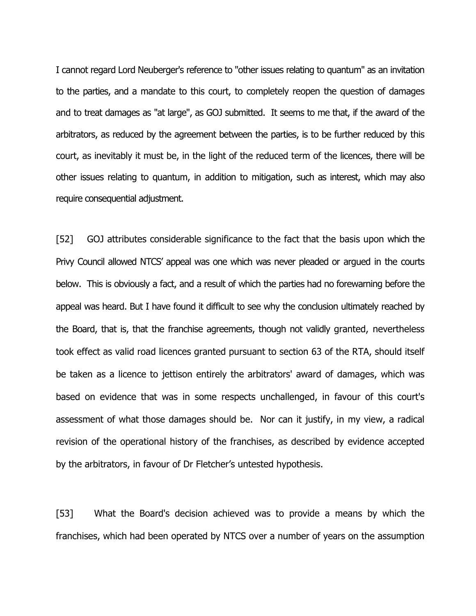I cannot regard Lord Neuberger's reference to "other issues relating to quantum" as an invitation to the parties, and a mandate to this court, to completely reopen the question of damages and to treat damages as "at large", as GOJ submitted. It seems to me that, if the award of the arbitrators, as reduced by the agreement between the parties, is to be further reduced by this court, as inevitably it must be, in the light of the reduced term of the licences, there will be other issues relating to quantum, in addition to mitigation, such as interest, which may also require consequential adjustment.

[52] GOJ attributes considerable significance to the fact that the basis upon which the Privy Council allowed NTCS' appeal was one which was never pleaded or argued in the courts below. This is obviously a fact, and a result of which the parties had no forewarning before the appeal was heard. But I have found it difficult to see why the conclusion ultimately reached by the Board, that is, that the franchise agreements, though not validly granted, nevertheless took effect as valid road licences granted pursuant to section 63 of the RTA, should itself be taken as a licence to jettison entirely the arbitrators' award of damages, which was based on evidence that was in some respects unchallenged, in favour of this court's assessment of what those damages should be. Nor can it justify, in my view, a radical revision of the operational history of the franchises, as described by evidence accepted by the arbitrators, in favour of Dr Fletcher's untested hypothesis.

[53] What the Board's decision achieved was to provide a means by which the franchises, which had been operated by NTCS over a number of years on the assumption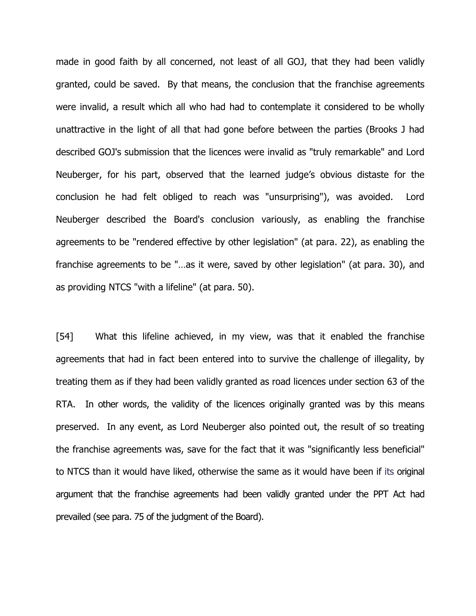made in good faith by all concerned, not least of all GOJ, that they had been validly granted, could be saved. By that means, the conclusion that the franchise agreements were invalid, a result which all who had had to contemplate it considered to be wholly unattractive in the light of all that had gone before between the parties (Brooks J had described GOJ's submission that the licences were invalid as "truly remarkable" and Lord Neuberger, for his part, observed that the learned judge's obvious distaste for the conclusion he had felt obliged to reach was "unsurprising"), was avoided. Lord Neuberger described the Board's conclusion variously, as enabling the franchise agreements to be "rendered effective by other legislation" (at para. 22), as enabling the franchise agreements to be "…as it were, saved by other legislation" (at para. 30), and as providing NTCS "with a lifeline" (at para. 50).

[54] What this lifeline achieved, in my view, was that it enabled the franchise agreements that had in fact been entered into to survive the challenge of illegality, by treating them as if they had been validly granted as road licences under section 63 of the RTA. In other words, the validity of the licences originally granted was by this means preserved. In any event, as Lord Neuberger also pointed out, the result of so treating the franchise agreements was, save for the fact that it was "significantly less beneficial" to NTCS than it would have liked, otherwise the same as it would have been if its original argument that the franchise agreements had been validly granted under the PPT Act had prevailed (see para. 75 of the judgment of the Board).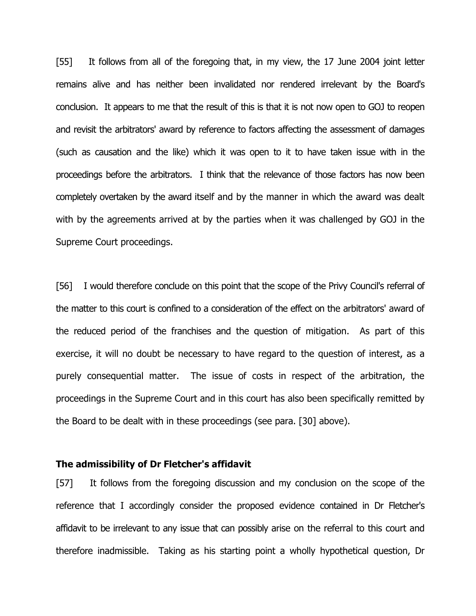[55] It follows from all of the foregoing that, in my view, the 17 June 2004 joint letter remains alive and has neither been invalidated nor rendered irrelevant by the Board's conclusion. It appears to me that the result of this is that it is not now open to GOJ to reopen and revisit the arbitrators' award by reference to factors affecting the assessment of damages (such as causation and the like) which it was open to it to have taken issue with in the proceedings before the arbitrators. I think that the relevance of those factors has now been completely overtaken by the award itself and by the manner in which the award was dealt with by the agreements arrived at by the parties when it was challenged by GOJ in the Supreme Court proceedings.

[56] I would therefore conclude on this point that the scope of the Privy Council's referral of the matter to this court is confined to a consideration of the effect on the arbitrators' award of the reduced period of the franchises and the question of mitigation. As part of this exercise, it will no doubt be necessary to have regard to the question of interest, as a purely consequential matter. The issue of costs in respect of the arbitration, the proceedings in the Supreme Court and in this court has also been specifically remitted by the Board to be dealt with in these proceedings (see para. [30] above).

#### The admissibility of Dr Fletcher's affidavit

[57] It follows from the foregoing discussion and my conclusion on the scope of the reference that I accordingly consider the proposed evidence contained in Dr Fletcher's affidavit to be irrelevant to any issue that can possibly arise on the referral to this court and therefore inadmissible. Taking as his starting point a wholly hypothetical question, Dr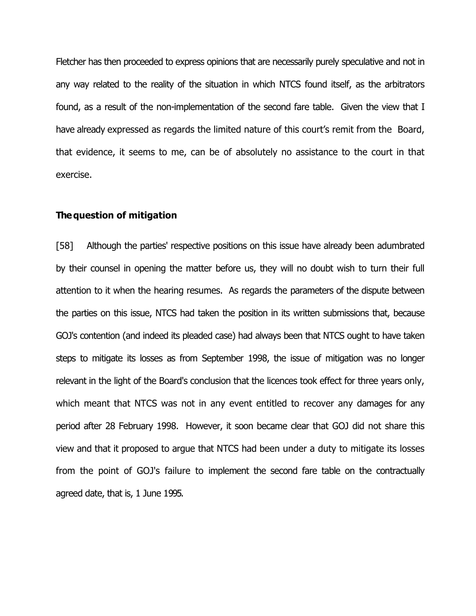Fletcher has then proceeded to express opinions that are necessarily purely speculative and not in any way related to the reality of the situation in which NTCS found itself, as the arbitrators found, as a result of the non-implementation of the second fare table. Given the view that I have already expressed as regards the limited nature of this court's remit from the Board, that evidence, it seems to me, can be of absolutely no assistance to the court in that exercise.

#### The question of mitigation

[58] Although the parties' respective positions on this issue have already been adumbrated by their counsel in opening the matter before us, they will no doubt wish to turn their full attention to it when the hearing resumes. As regards the parameters of the dispute between the parties on this issue, NTCS had taken the position in its written submissions that, because GOJ's contention (and indeed its pleaded case) had always been that NTCS ought to have taken steps to mitigate its losses as from September 1998, the issue of mitigation was no longer relevant in the light of the Board's conclusion that the licences took effect for three years only, which meant that NTCS was not in any event entitled to recover any damages for any period after 28 February 1998. However, it soon became clear that GOJ did not share this view and that it proposed to argue that NTCS had been under a duty to mitigate its losses from the point of GOJ's failure to implement the second fare table on the contractually agreed date, that is, 1 June 1995.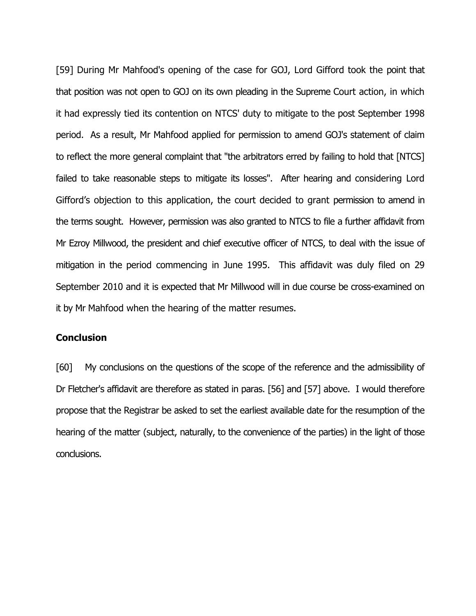[59] During Mr Mahfood's opening of the case for GOJ, Lord Gifford took the point that that position was not open to GOJ on its own pleading in the Supreme Court action, in which it had expressly tied its contention on NTCS' duty to mitigate to the post September 1998 period. As a result, Mr Mahfood applied for permission to amend GOJ's statement of claim to reflect the more general complaint that "the arbitrators erred by failing to hold that [NTCS] failed to take reasonable steps to mitigate its losses". After hearing and considering Lord Gifford's objection to this application, the court decided to grant permission to amend in the terms sought. However, permission was also granted to NTCS to file a further affidavit from Mr Ezroy Millwood, the president and chief executive officer of NTCS, to deal with the issue of mitigation in the period commencing in June 1995. This affidavit was duly filed on 29 September 2010 and it is expected that Mr Millwood will in due course be cross-examined on it by Mr Mahfood when the hearing of the matter resumes.

### **Conclusion**

[60] My conclusions on the questions of the scope of the reference and the admissibility of Dr Fletcher's affidavit are therefore as stated in paras. [56] and [57] above. I would therefore propose that the Registrar be asked to set the earliest available date for the resumption of the hearing of the matter (subject, naturally, to the convenience of the parties) in the light of those conclusions.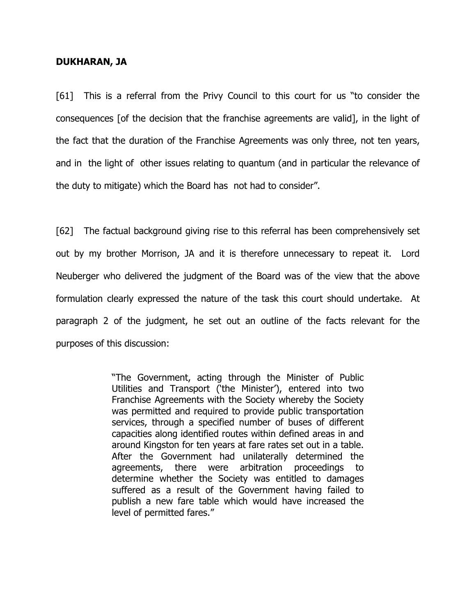#### DUKHARAN, JA

[61] This is a referral from the Privy Council to this court for us "to consider the consequences [of the decision that the franchise agreements are valid], in the light of the fact that the duration of the Franchise Agreements was only three, not ten years, and in the light of other issues relating to quantum (and in particular the relevance of the duty to mitigate) which the Board has not had to consider".

[62] The factual background giving rise to this referral has been comprehensively set out by my brother Morrison, JA and it is therefore unnecessary to repeat it. Lord Neuberger who delivered the judgment of the Board was of the view that the above formulation clearly expressed the nature of the task this court should undertake. At paragraph 2 of the judgment, he set out an outline of the facts relevant for the purposes of this discussion:

> "The Government, acting through the Minister of Public Utilities and Transport ('the Minister'), entered into two Franchise Agreements with the Society whereby the Society was permitted and required to provide public transportation services, through a specified number of buses of different capacities along identified routes within defined areas in and around Kingston for ten years at fare rates set out in a table. After the Government had unilaterally determined the agreements, there were arbitration proceedings to determine whether the Society was entitled to damages suffered as a result of the Government having failed to publish a new fare table which would have increased the level of permitted fares."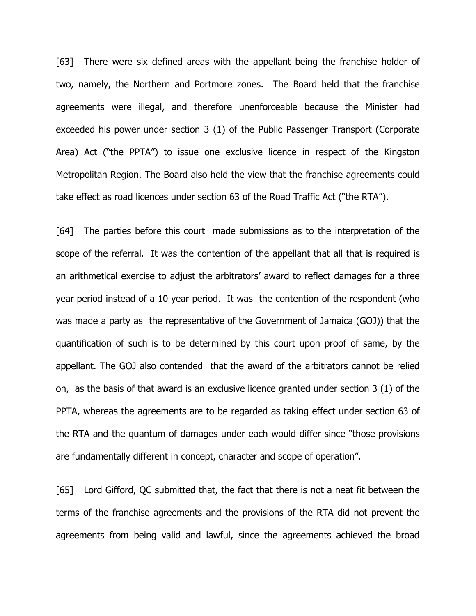[63] There were six defined areas with the appellant being the franchise holder of two, namely, the Northern and Portmore zones. The Board held that the franchise agreements were illegal, and therefore unenforceable because the Minister had exceeded his power under section 3 (1) of the Public Passenger Transport (Corporate Area) Act ("the PPTA") to issue one exclusive licence in respect of the Kingston Metropolitan Region. The Board also held the view that the franchise agreements could take effect as road licences under section 63 of the Road Traffic Act ("the RTA").

[64] The parties before this court made submissions as to the interpretation of the scope of the referral. It was the contention of the appellant that all that is required is an arithmetical exercise to adjust the arbitrators' award to reflect damages for a three year period instead of a 10 year period. It was the contention of the respondent (who was made a party as the representative of the Government of Jamaica (GOJ)) that the quantification of such is to be determined by this court upon proof of same, by the appellant. The GOJ also contended that the award of the arbitrators cannot be relied on, as the basis of that award is an exclusive licence granted under section 3 (1) of the PPTA, whereas the agreements are to be regarded as taking effect under section 63 of the RTA and the quantum of damages under each would differ since "those provisions are fundamentally different in concept, character and scope of operation".

[65] Lord Gifford, QC submitted that, the fact that there is not a neat fit between the terms of the franchise agreements and the provisions of the RTA did not prevent the agreements from being valid and lawful, since the agreements achieved the broad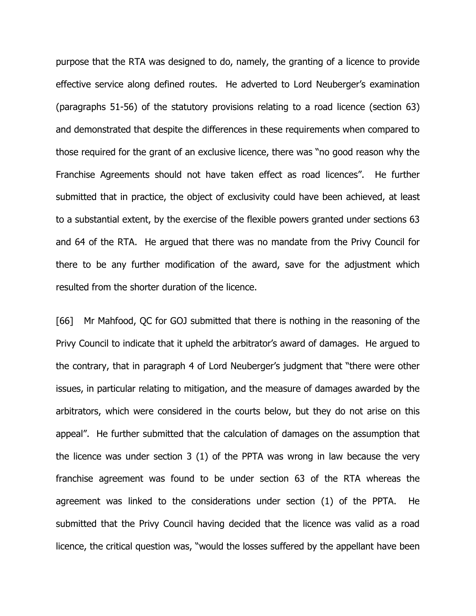purpose that the RTA was designed to do, namely, the granting of a licence to provide effective service along defined routes. He adverted to Lord Neuberger's examination (paragraphs 51-56) of the statutory provisions relating to a road licence (section 63) and demonstrated that despite the differences in these requirements when compared to those required for the grant of an exclusive licence, there was "no good reason why the Franchise Agreements should not have taken effect as road licences". He further submitted that in practice, the object of exclusivity could have been achieved, at least to a substantial extent, by the exercise of the flexible powers granted under sections 63 and 64 of the RTA. He argued that there was no mandate from the Privy Council for there to be any further modification of the award, save for the adjustment which resulted from the shorter duration of the licence.

[66] Mr Mahfood, QC for GOJ submitted that there is nothing in the reasoning of the Privy Council to indicate that it upheld the arbitrator's award of damages. He argued to the contrary, that in paragraph 4 of Lord Neuberger's judgment that "there were other issues, in particular relating to mitigation, and the measure of damages awarded by the arbitrators, which were considered in the courts below, but they do not arise on this appeal". He further submitted that the calculation of damages on the assumption that the licence was under section 3 (1) of the PPTA was wrong in law because the very franchise agreement was found to be under section 63 of the RTA whereas the agreement was linked to the considerations under section (1) of the PPTA. He submitted that the Privy Council having decided that the licence was valid as a road licence, the critical question was, "would the losses suffered by the appellant have been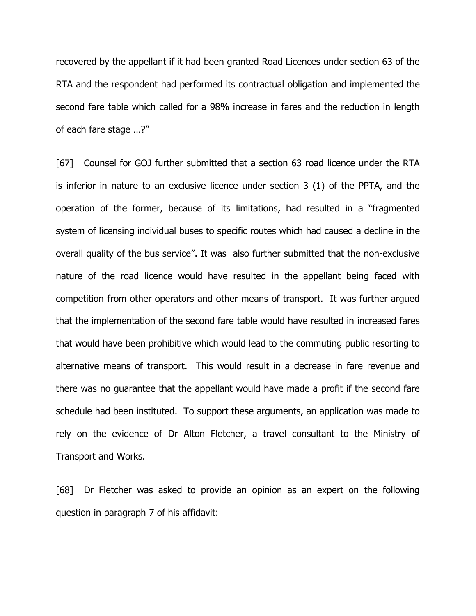recovered by the appellant if it had been granted Road Licences under section 63 of the RTA and the respondent had performed its contractual obligation and implemented the second fare table which called for a 98% increase in fares and the reduction in length of each fare stage …?"

[67] Counsel for GOJ further submitted that a section 63 road licence under the RTA is inferior in nature to an exclusive licence under section 3 (1) of the PPTA, and the operation of the former, because of its limitations, had resulted in a "fragmented system of licensing individual buses to specific routes which had caused a decline in the overall quality of the bus service". It was also further submitted that the non-exclusive nature of the road licence would have resulted in the appellant being faced with competition from other operators and other means of transport. It was further argued that the implementation of the second fare table would have resulted in increased fares that would have been prohibitive which would lead to the commuting public resorting to alternative means of transport. This would result in a decrease in fare revenue and there was no guarantee that the appellant would have made a profit if the second fare schedule had been instituted. To support these arguments, an application was made to rely on the evidence of Dr Alton Fletcher, a travel consultant to the Ministry of Transport and Works.

[68] Dr Fletcher was asked to provide an opinion as an expert on the following question in paragraph 7 of his affidavit: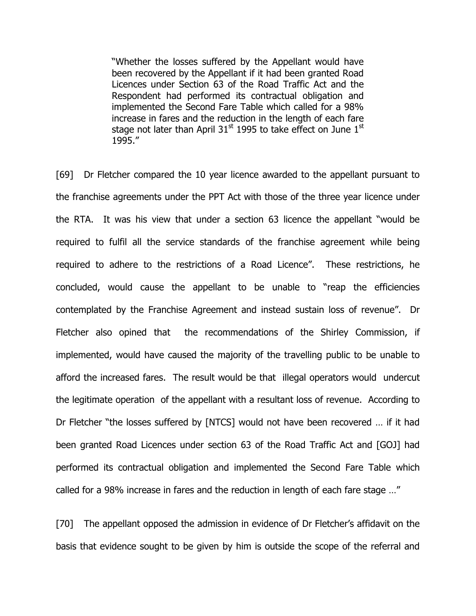"Whether the losses suffered by the Appellant would have been recovered by the Appellant if it had been granted Road Licences under Section 63 of the Road Traffic Act and the Respondent had performed its contractual obligation and implemented the Second Fare Table which called for a 98% increase in fares and the reduction in the length of each fare stage not later than April  $31<sup>st</sup>$  1995 to take effect on June  $1<sup>st</sup>$ 1995."

[69] Dr Fletcher compared the 10 year licence awarded to the appellant pursuant to the franchise agreements under the PPT Act with those of the three year licence under the RTA. It was his view that under a section 63 licence the appellant "would be required to fulfil all the service standards of the franchise agreement while being required to adhere to the restrictions of a Road Licence". These restrictions, he concluded, would cause the appellant to be unable to "reap the efficiencies contemplated by the Franchise Agreement and instead sustain loss of revenue". Dr Fletcher also opined that the recommendations of the Shirley Commission, if implemented, would have caused the majority of the travelling public to be unable to afford the increased fares. The result would be that illegal operators would undercut the legitimate operation of the appellant with a resultant loss of revenue. According to Dr Fletcher "the losses suffered by [NTCS] would not have been recovered … if it had been granted Road Licences under section 63 of the Road Traffic Act and [GOJ] had performed its contractual obligation and implemented the Second Fare Table which called for a 98% increase in fares and the reduction in length of each fare stage …"

[70] The appellant opposed the admission in evidence of Dr Fletcher's affidavit on the basis that evidence sought to be given by him is outside the scope of the referral and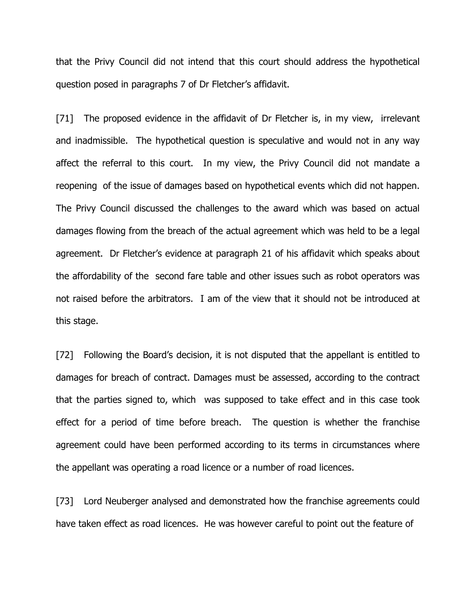that the Privy Council did not intend that this court should address the hypothetical question posed in paragraphs 7 of Dr Fletcher's affidavit.

[71] The proposed evidence in the affidavit of Dr Fletcher is, in my view, irrelevant and inadmissible. The hypothetical question is speculative and would not in any way affect the referral to this court. In my view, the Privy Council did not mandate a reopening of the issue of damages based on hypothetical events which did not happen. The Privy Council discussed the challenges to the award which was based on actual damages flowing from the breach of the actual agreement which was held to be a legal agreement. Dr Fletcher's evidence at paragraph 21 of his affidavit which speaks about the affordability of the second fare table and other issues such as robot operators was not raised before the arbitrators. I am of the view that it should not be introduced at this stage.

[72] Following the Board's decision, it is not disputed that the appellant is entitled to damages for breach of contract. Damages must be assessed, according to the contract that the parties signed to, which was supposed to take effect and in this case took effect for a period of time before breach. The question is whether the franchise agreement could have been performed according to its terms in circumstances where the appellant was operating a road licence or a number of road licences.

[73] Lord Neuberger analysed and demonstrated how the franchise agreements could have taken effect as road licences. He was however careful to point out the feature of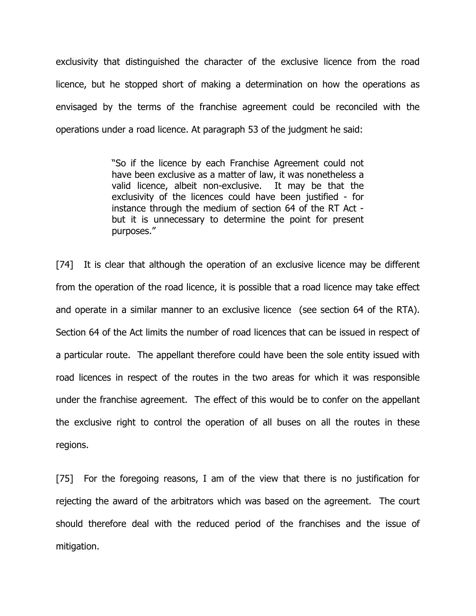exclusivity that distinguished the character of the exclusive licence from the road licence, but he stopped short of making a determination on how the operations as envisaged by the terms of the franchise agreement could be reconciled with the operations under a road licence. At paragraph 53 of the judgment he said:

> "So if the licence by each Franchise Agreement could not have been exclusive as a matter of law, it was nonetheless a valid licence, albeit non-exclusive. It may be that the exclusivity of the licences could have been justified - for instance through the medium of section 64 of the RT Act but it is unnecessary to determine the point for present purposes."

[74] It is clear that although the operation of an exclusive licence may be different from the operation of the road licence, it is possible that a road licence may take effect and operate in a similar manner to an exclusive licence (see section 64 of the RTA). Section 64 of the Act limits the number of road licences that can be issued in respect of a particular route. The appellant therefore could have been the sole entity issued with road licences in respect of the routes in the two areas for which it was responsible under the franchise agreement. The effect of this would be to confer on the appellant the exclusive right to control the operation of all buses on all the routes in these regions.

[75] For the foregoing reasons, I am of the view that there is no justification for rejecting the award of the arbitrators which was based on the agreement. The court should therefore deal with the reduced period of the franchises and the issue of mitigation.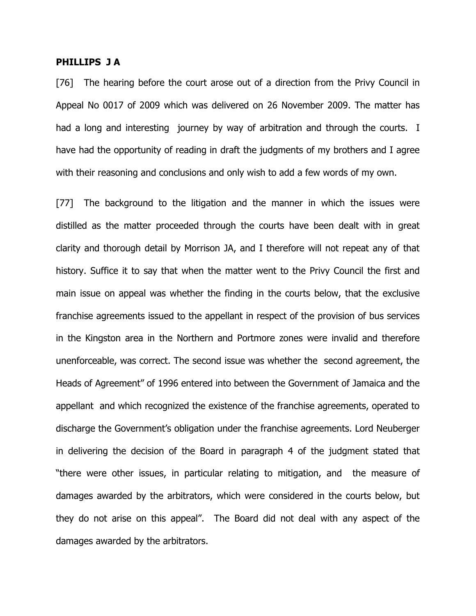#### PHILLIPS J A

[76] The hearing before the court arose out of a direction from the Privy Council in Appeal No 0017 of 2009 which was delivered on 26 November 2009. The matter has had a long and interesting journey by way of arbitration and through the courts. I have had the opportunity of reading in draft the judgments of my brothers and I agree with their reasoning and conclusions and only wish to add a few words of my own.

[77] The background to the litigation and the manner in which the issues were distilled as the matter proceeded through the courts have been dealt with in great clarity and thorough detail by Morrison JA, and I therefore will not repeat any of that history. Suffice it to say that when the matter went to the Privy Council the first and main issue on appeal was whether the finding in the courts below, that the exclusive franchise agreements issued to the appellant in respect of the provision of bus services in the Kingston area in the Northern and Portmore zones were invalid and therefore unenforceable, was correct. The second issue was whether the second agreement, the Heads of Agreement" of 1996 entered into between the Government of Jamaica and the appellant and which recognized the existence of the franchise agreements, operated to discharge the Government's obligation under the franchise agreements. Lord Neuberger in delivering the decision of the Board in paragraph 4 of the judgment stated that "there were other issues, in particular relating to mitigation, and the measure of damages awarded by the arbitrators, which were considered in the courts below, but they do not arise on this appeal". The Board did not deal with any aspect of the damages awarded by the arbitrators.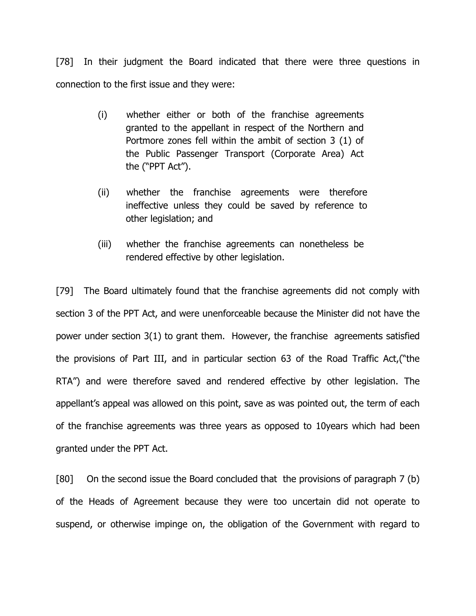[78] In their judgment the Board indicated that there were three questions in connection to the first issue and they were:

- (i) whether either or both of the franchise agreements granted to the appellant in respect of the Northern and Portmore zones fell within the ambit of section 3 (1) of the Public Passenger Transport (Corporate Area) Act the ("PPT Act").
- (ii) whether the franchise agreements were therefore ineffective unless they could be saved by reference to other legislation; and
- (iii) whether the franchise agreements can nonetheless be rendered effective by other legislation.

[79] The Board ultimately found that the franchise agreements did not comply with section 3 of the PPT Act, and were unenforceable because the Minister did not have the power under section 3(1) to grant them. However, the franchise agreements satisfied the provisions of Part III, and in particular section 63 of the Road Traffic Act,("the RTA") and were therefore saved and rendered effective by other legislation. The appellant's appeal was allowed on this point, save as was pointed out, the term of each of the franchise agreements was three years as opposed to 10years which had been granted under the PPT Act.

[80] On the second issue the Board concluded that the provisions of paragraph 7 (b) of the Heads of Agreement because they were too uncertain did not operate to suspend, or otherwise impinge on, the obligation of the Government with regard to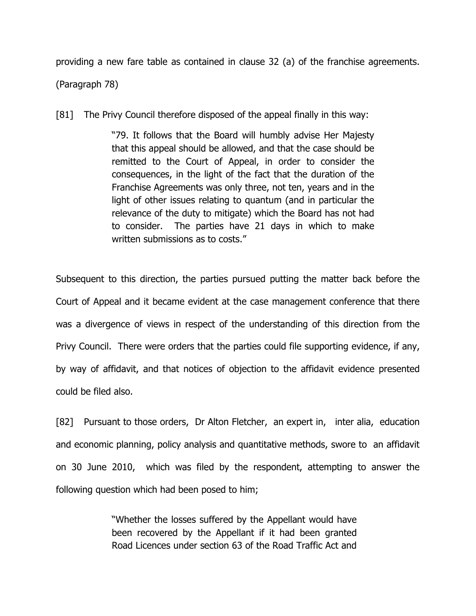providing a new fare table as contained in clause 32 (a) of the franchise agreements. (Paragraph 78)

[81] The Privy Council therefore disposed of the appeal finally in this way:

"79. It follows that the Board will humbly advise Her Majesty that this appeal should be allowed, and that the case should be remitted to the Court of Appeal, in order to consider the consequences, in the light of the fact that the duration of the Franchise Agreements was only three, not ten, years and in the light of other issues relating to quantum (and in particular the relevance of the duty to mitigate) which the Board has not had to consider. The parties have 21 days in which to make written submissions as to costs."

Subsequent to this direction, the parties pursued putting the matter back before the Court of Appeal and it became evident at the case management conference that there was a divergence of views in respect of the understanding of this direction from the Privy Council. There were orders that the parties could file supporting evidence, if any, by way of affidavit, and that notices of objection to the affidavit evidence presented could be filed also.

[82] Pursuant to those orders, Dr Alton Fletcher, an expert in, inter alia, education and economic planning, policy analysis and quantitative methods, swore to an affidavit on 30 June 2010, which was filed by the respondent, attempting to answer the following question which had been posed to him;

> "Whether the losses suffered by the Appellant would have been recovered by the Appellant if it had been granted Road Licences under section 63 of the Road Traffic Act and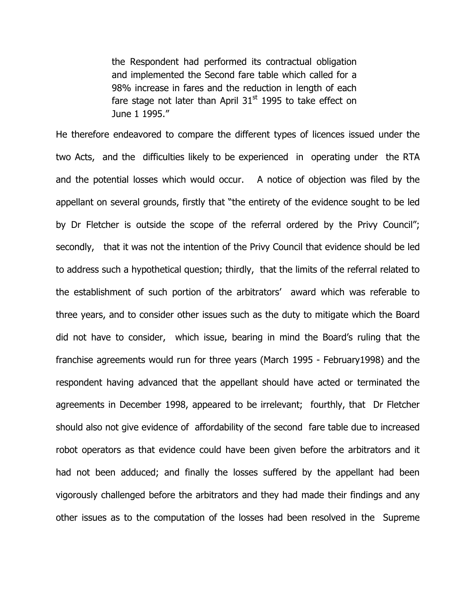the Respondent had performed its contractual obligation and implemented the Second fare table which called for a 98% increase in fares and the reduction in length of each fare stage not later than April  $31<sup>st</sup>$  1995 to take effect on June 1 1995."

He therefore endeavored to compare the different types of licences issued under the two Acts, and the difficulties likely to be experienced in operating under the RTA and the potential losses which would occur. A notice of objection was filed by the appellant on several grounds, firstly that "the entirety of the evidence sought to be led by Dr Fletcher is outside the scope of the referral ordered by the Privy Council"; secondly, that it was not the intention of the Privy Council that evidence should be led to address such a hypothetical question; thirdly, that the limits of the referral related to the establishment of such portion of the arbitrators' award which was referable to three years, and to consider other issues such as the duty to mitigate which the Board did not have to consider, which issue, bearing in mind the Board's ruling that the franchise agreements would run for three years (March 1995 - February1998) and the respondent having advanced that the appellant should have acted or terminated the agreements in December 1998, appeared to be irrelevant; fourthly, that Dr Fletcher should also not give evidence of affordability of the second fare table due to increased robot operators as that evidence could have been given before the arbitrators and it had not been adduced; and finally the losses suffered by the appellant had been vigorously challenged before the arbitrators and they had made their findings and any other issues as to the computation of the losses had been resolved in the Supreme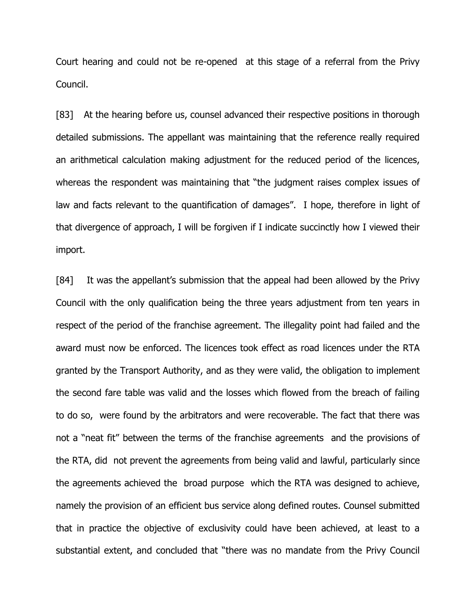Court hearing and could not be re-opened at this stage of a referral from the Privy Council.

[83] At the hearing before us, counsel advanced their respective positions in thorough detailed submissions. The appellant was maintaining that the reference really required an arithmetical calculation making adjustment for the reduced period of the licences, whereas the respondent was maintaining that "the judgment raises complex issues of law and facts relevant to the quantification of damages". I hope, therefore in light of that divergence of approach, I will be forgiven if I indicate succinctly how I viewed their import.

[84] It was the appellant's submission that the appeal had been allowed by the Privy Council with the only qualification being the three years adjustment from ten years in respect of the period of the franchise agreement. The illegality point had failed and the award must now be enforced. The licences took effect as road licences under the RTA granted by the Transport Authority, and as they were valid, the obligation to implement the second fare table was valid and the losses which flowed from the breach of failing to do so, were found by the arbitrators and were recoverable. The fact that there was not a "neat fit" between the terms of the franchise agreements and the provisions of the RTA, did not prevent the agreements from being valid and lawful, particularly since the agreements achieved the broad purpose which the RTA was designed to achieve, namely the provision of an efficient bus service along defined routes. Counsel submitted that in practice the objective of exclusivity could have been achieved, at least to a substantial extent, and concluded that "there was no mandate from the Privy Council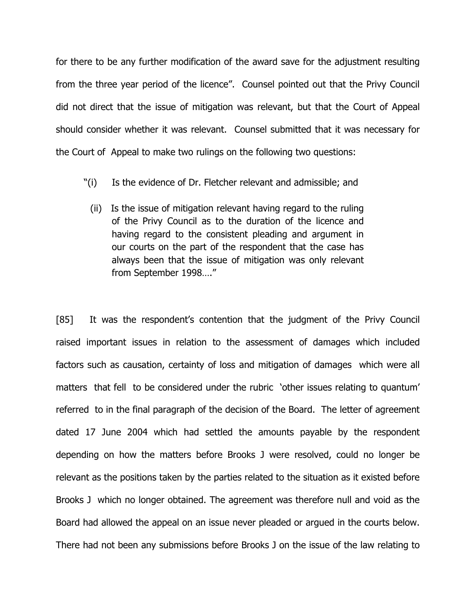for there to be any further modification of the award save for the adjustment resulting from the three year period of the licence". Counsel pointed out that the Privy Council did not direct that the issue of mitigation was relevant, but that the Court of Appeal should consider whether it was relevant. Counsel submitted that it was necessary for the Court of Appeal to make two rulings on the following two questions:

- "(i) Is the evidence of Dr. Fletcher relevant and admissible; and
	- (ii) Is the issue of mitigation relevant having regard to the ruling of the Privy Council as to the duration of the licence and having regard to the consistent pleading and argument in our courts on the part of the respondent that the case has always been that the issue of mitigation was only relevant from September 1998…."

[85] It was the respondent's contention that the judgment of the Privy Council raised important issues in relation to the assessment of damages which included factors such as causation, certainty of loss and mitigation of damages which were all matters that fell to be considered under the rubric 'other issues relating to quantum' referred to in the final paragraph of the decision of the Board. The letter of agreement dated 17 June 2004 which had settled the amounts payable by the respondent depending on how the matters before Brooks J were resolved, could no longer be relevant as the positions taken by the parties related to the situation as it existed before Brooks J which no longer obtained. The agreement was therefore null and void as the Board had allowed the appeal on an issue never pleaded or argued in the courts below. There had not been any submissions before Brooks J on the issue of the law relating to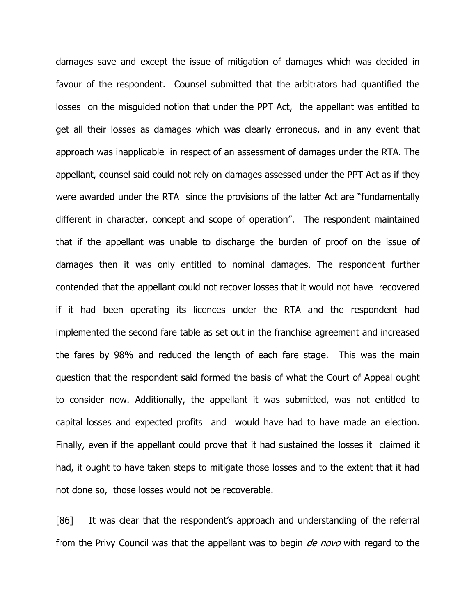damages save and except the issue of mitigation of damages which was decided in favour of the respondent. Counsel submitted that the arbitrators had quantified the losses on the misguided notion that under the PPT Act, the appellant was entitled to get all their losses as damages which was clearly erroneous, and in any event that approach was inapplicable in respect of an assessment of damages under the RTA. The appellant, counsel said could not rely on damages assessed under the PPT Act as if they were awarded under the RTA since the provisions of the latter Act are "fundamentally different in character, concept and scope of operation". The respondent maintained that if the appellant was unable to discharge the burden of proof on the issue of damages then it was only entitled to nominal damages. The respondent further contended that the appellant could not recover losses that it would not have recovered if it had been operating its licences under the RTA and the respondent had implemented the second fare table as set out in the franchise agreement and increased the fares by 98% and reduced the length of each fare stage. This was the main question that the respondent said formed the basis of what the Court of Appeal ought to consider now. Additionally, the appellant it was submitted, was not entitled to capital losses and expected profits and would have had to have made an election. Finally, even if the appellant could prove that it had sustained the losses it claimed it had, it ought to have taken steps to mitigate those losses and to the extent that it had not done so, those losses would not be recoverable.

[86] It was clear that the respondent's approach and understanding of the referral from the Privy Council was that the appellant was to begin *de novo* with regard to the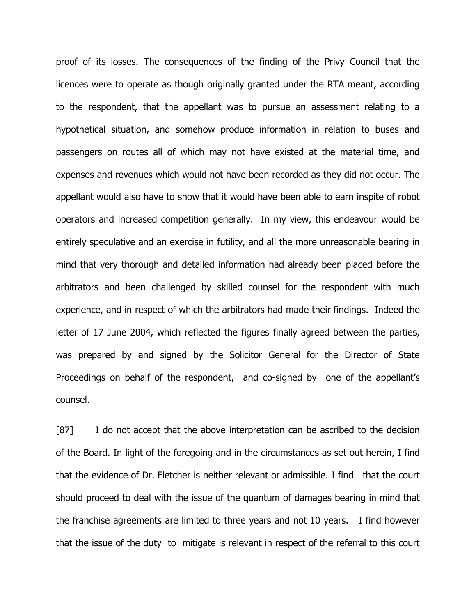proof of its losses. The consequences of the finding of the Privy Council that the licences were to operate as though originally granted under the RTA meant, according to the respondent, that the appellant was to pursue an assessment relating to a hypothetical situation, and somehow produce information in relation to buses and passengers on routes all of which may not have existed at the material time, and expenses and revenues which would not have been recorded as they did not occur. The appellant would also have to show that it would have been able to earn inspite of robot operators and increased competition generally. In my view, this endeavour would be entirely speculative and an exercise in futility, and all the more unreasonable bearing in mind that very thorough and detailed information had already been placed before the arbitrators and been challenged by skilled counsel for the respondent with much experience, and in respect of which the arbitrators had made their findings. Indeed the letter of 17 June 2004, which reflected the figures finally agreed between the parties, was prepared by and signed by the Solicitor General for the Director of State Proceedings on behalf of the respondent, and co-signed by one of the appellant's counsel.

[87] I do not accept that the above interpretation can be ascribed to the decision of the Board. In light of the foregoing and in the circumstances as set out herein, I find that the evidence of Dr. Fletcher is neither relevant or admissible. I find that the court should proceed to deal with the issue of the quantum of damages bearing in mind that the franchise agreements are limited to three years and not 10 years. I find however that the issue of the duty to mitigate is relevant in respect of the referral to this court